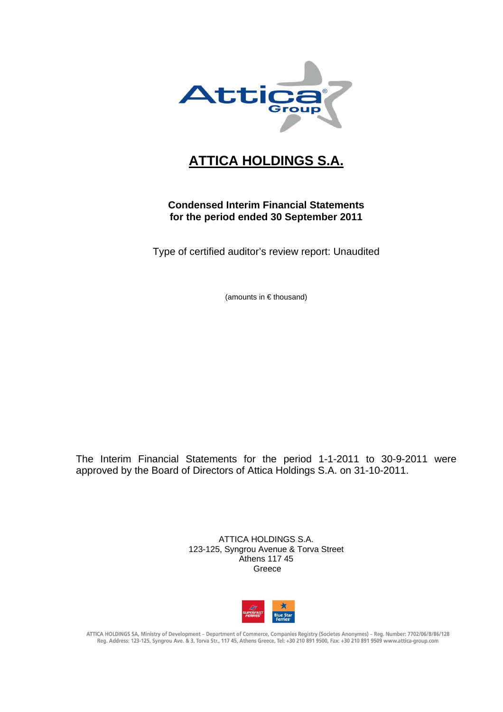

# **ATTICA HOLDINGS S.A.**

# **Condensed Interim Financial Statements for the period ended 30 September 2011**

Type of certified auditor's review report: Unaudited

(amounts in € thousand)

The Interim Financial Statements for the period 1-1-2011 to 30-9-2011 were approved by the Board of Directors of Attica Holdings S.A. on 31-10-2011.

> ATTICA HOLDINGS S.A. 123-125, Syngrou Avenue & Torva Street Athens 117 45 Greece



ATTICA HOLDINGS SA, Ministry of Development - Department of Commerce, Companies Registry (Societes Anonymes) - Reg. Number: 7702/06/B/86/128 Reg. Address: 123-125, Syngrou Ave. & 3, Torva Str., 117 45, Athens Greece, Tel: +30 210 891 9500, Fax: +30 210 891 9509 www.attica-group.com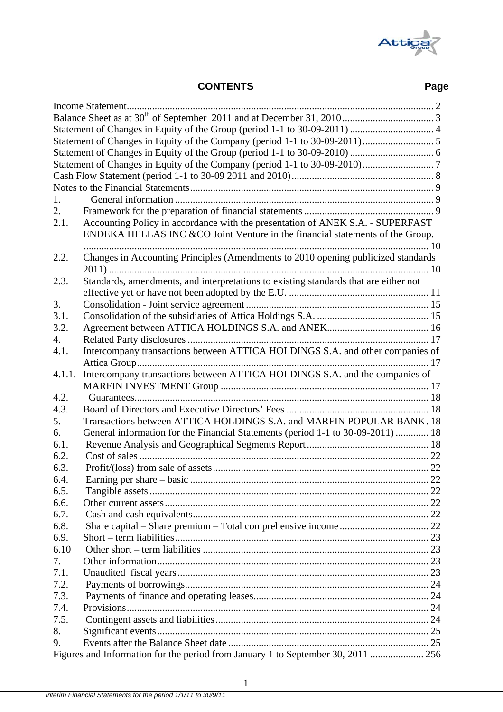

# **CONTENTS Page**

| 1.     |                                                                                      |    |  |  |  |  |
|--------|--------------------------------------------------------------------------------------|----|--|--|--|--|
| 2.     |                                                                                      |    |  |  |  |  |
| 2.1.   | Accounting Policy in accordance with the presentation of ANEK S.A. - SUPERFAST       |    |  |  |  |  |
|        | ENDEKA HELLAS INC & CO Joint Venture in the financial statements of the Group.       |    |  |  |  |  |
|        |                                                                                      |    |  |  |  |  |
| 2.2.   | Changes in Accounting Principles (Amendments to 2010 opening publicized standards    |    |  |  |  |  |
|        |                                                                                      |    |  |  |  |  |
|        |                                                                                      |    |  |  |  |  |
| 2.3.   | Standards, amendments, and interpretations to existing standards that are either not |    |  |  |  |  |
|        |                                                                                      |    |  |  |  |  |
| 3.     |                                                                                      |    |  |  |  |  |
| 3.1.   |                                                                                      |    |  |  |  |  |
| 3.2.   |                                                                                      |    |  |  |  |  |
| 4.     |                                                                                      |    |  |  |  |  |
| 4.1.   | Intercompany transactions between ATTICA HOLDINGS S.A. and other companies of        |    |  |  |  |  |
|        |                                                                                      |    |  |  |  |  |
| 4.1.1. | Intercompany transactions between ATTICA HOLDINGS S.A. and the companies of          |    |  |  |  |  |
|        |                                                                                      |    |  |  |  |  |
| 4.2.   |                                                                                      |    |  |  |  |  |
| 4.3.   |                                                                                      |    |  |  |  |  |
| 5.     | Transactions between ATTICA HOLDINGS S.A. and MARFIN POPULAR BANK. 18                |    |  |  |  |  |
| 6.     | General information for the Financial Statements (period 1-1 to 30-09-2011)  18      |    |  |  |  |  |
| 6.1.   |                                                                                      |    |  |  |  |  |
| 6.2.   |                                                                                      |    |  |  |  |  |
| 6.3.   |                                                                                      |    |  |  |  |  |
| 6.4    |                                                                                      | 22 |  |  |  |  |
| 6.5.   |                                                                                      |    |  |  |  |  |
| 6.6.   |                                                                                      |    |  |  |  |  |
| 6.7.   |                                                                                      |    |  |  |  |  |
| 6.8.   |                                                                                      |    |  |  |  |  |
| 6.9.   |                                                                                      |    |  |  |  |  |
| 6.10   |                                                                                      |    |  |  |  |  |
| 7.     |                                                                                      |    |  |  |  |  |
| 7.1.   |                                                                                      |    |  |  |  |  |
| 7.2.   |                                                                                      |    |  |  |  |  |
| 7.3.   |                                                                                      |    |  |  |  |  |
| 7.4.   |                                                                                      |    |  |  |  |  |
|        |                                                                                      |    |  |  |  |  |
| 7.5.   |                                                                                      |    |  |  |  |  |
| 8.     |                                                                                      |    |  |  |  |  |
| 9.     |                                                                                      |    |  |  |  |  |
|        | Figures and Information for the period from January 1 to September 30, 2011  256     |    |  |  |  |  |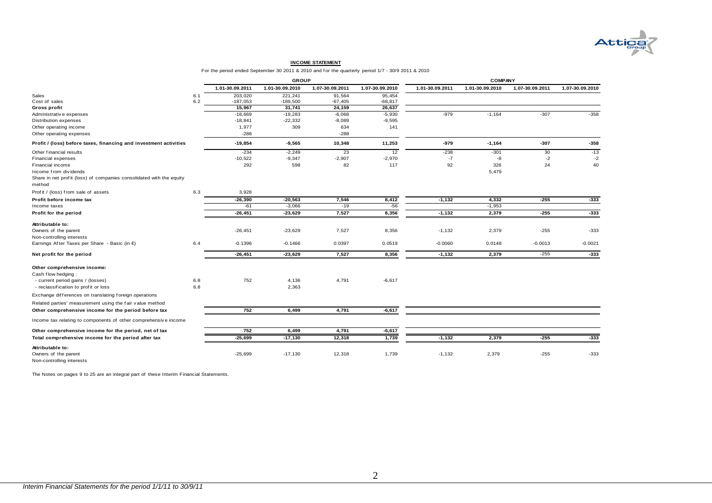

#### **INCOME STATEMENT**

For the period ended September 30 2011 & 2010 and f or the quarterly period 1/7 - 30/9 2011 & 2010

|                                                                      |     | <b>GROUP</b>    |                 |                 |                 |                 | <b>COMPANY</b>  |                 |                 |
|----------------------------------------------------------------------|-----|-----------------|-----------------|-----------------|-----------------|-----------------|-----------------|-----------------|-----------------|
|                                                                      |     | 1.01-30.09.2011 | 1.01-30.09.2010 | 1.07-30.09.2011 | 1.07-30.09.2010 | 1.01-30.09.2011 | 1.01-30.09.2010 | 1.07-30.09.2011 | 1.07-30.09.2010 |
| Sales                                                                | 6.1 | 203,020         | 221,241         | 91,564          | 95,454          |                 |                 |                 |                 |
| Cost of sales                                                        | 6.2 | $-187,053$      | $-189,500$      | $-67,405$       | $-68,817$       |                 |                 |                 |                 |
| Gross profit                                                         |     | 15,967          | 31,741          | 24,159          | 26,637          |                 |                 |                 |                 |
| Administrativ e expenses                                             |     | $-18,669$       | $-19,283$       | $-6,068$        | $-5,930$        | $-979$          | $-1,164$        | $-307$          | $-358$          |
| Distribution expenses                                                |     | $-18,841$       | $-22,332$       | $-8,089$        | $-9,595$        |                 |                 |                 |                 |
| Other operating income                                               |     | 1,977           | 309             | 634             | 141             |                 |                 |                 |                 |
| Other operating expenses                                             |     | $-288$          |                 | $-288$          |                 |                 |                 |                 |                 |
| Profit / (loss) before taxes, financing and investment activities    |     | $-19,854$       | $-9,565$        | 10,348          | 11,253          | -979            | $-1,164$        | $-307$          | $-358$          |
| Other financial results                                              |     | $-234$          | $-2,249$        | 23              | 12              | $-238$          | $-301$          | 30              | $-13$           |
| <b>Financial expenses</b>                                            |     | $-10,522$       | $-9,347$        | $-2,907$        | $-2,970$        | $-7$            | -8              | $-2$            | $-2$            |
| Financial income                                                     |     | 292             | 598             | 82              | 117             | 92              | 326             | 24              | 40              |
| Income from dividends                                                |     |                 |                 |                 |                 |                 | 5,479           |                 |                 |
| Share in net profit (loss) of companies consolidated with the equity |     |                 |                 |                 |                 |                 |                 |                 |                 |
| method                                                               |     |                 |                 |                 |                 |                 |                 |                 |                 |
| Profit / (loss) from sale of assets                                  | 6.3 | 3,928           |                 |                 |                 |                 |                 |                 |                 |
| Profit before income tax                                             |     | $-26,390$       | $-20,563$       | 7,546           | 8,412           | $-1,132$        | 4,332           | $-255$          | $-333$          |
| Income taxes                                                         |     | $-61$           | $-3,066$        | $-19$           | $-56$           |                 | $-1,953$        |                 |                 |
| Profit for the period                                                |     | $-26,451$       | $-23,629$       | 7,527           | 8,356           | $-1,132$        | 2,379           | $-255$          | $-333$          |
| Attributable to:                                                     |     |                 |                 |                 |                 |                 |                 |                 |                 |
| Owners of the parent                                                 |     | $-26,451$       | $-23,629$       | 7,527           | 8,356           | $-1,132$        | 2,379           | $-255$          | $-333$          |
| Non-controlling interests                                            |     |                 |                 |                 |                 |                 |                 |                 |                 |
| Earnings After Taxes per Share - Basic (in €)                        | 6.4 | $-0.1396$       | $-0.1466$       | 0.0397          | 0.0519          | $-0.0060$       | 0.0148          | $-0.0013$       | $-0.0021$       |
| Net profit for the period                                            |     | $-26,451$       | $-23,629$       | 7,527           | 8,356           | $-1,132$        | 2,379           | $-255$          | $-333$          |
|                                                                      |     |                 |                 |                 |                 |                 |                 |                 |                 |
| Other comprehensive income:                                          |     |                 |                 |                 |                 |                 |                 |                 |                 |
| Cash flow hedging:                                                   |     |                 |                 |                 |                 |                 |                 |                 |                 |
| - current period gains / (losses)                                    | 6.8 | 752             | 4,136           | 4,791           | $-6,617$        |                 |                 |                 |                 |
| - reclassification to profit or loss                                 | 6.8 |                 | 2,363           |                 |                 |                 |                 |                 |                 |
| Exchange differences on translating foreign operations               |     |                 |                 |                 |                 |                 |                 |                 |                 |
| Related parties' measurement using the fair value method             |     |                 |                 |                 |                 |                 |                 |                 |                 |
| Other comprehensive income for the period before tax                 |     | 752             | 6,499           | 4,791           | $-6,617$        |                 |                 |                 |                 |
| Income tax relating to components of other comprehensive income      |     |                 |                 |                 |                 |                 |                 |                 |                 |
| Other comprehensive income for the period, net of tax                |     | 752             | 6,499           | 4,791           | $-6,617$        |                 |                 |                 |                 |
| Total comprehensive income for the period after tax                  |     | $-25,699$       | $-17,130$       | 12,318          | 1,739           | $-1,132$        | 2,379           | $-255$          | $-333$          |
| Attributable to:                                                     |     |                 |                 |                 |                 |                 |                 |                 |                 |
| Owners of the parent<br>Non-controlling interests                    |     | $-25,699$       | $-17,130$       | 12,318          | 1,739           | $-1,132$        | 2,379           | $-255$          | $-333$          |

The Notes on pages 9 to 25 are an integral part of these Interim Financial Statements.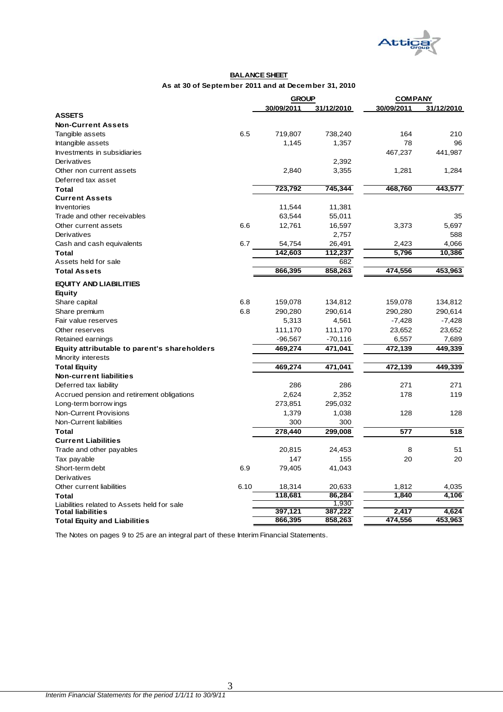

#### **BALANCE SHEET As at 30 of September 2011 and at December 31, 2010**

| 30/09/2011<br>31/12/2010<br>30/09/2011<br>31/12/2010<br><b>ASSETS</b><br><b>Non-Current Assets</b><br>6.5<br>719,807<br>164<br>Tangible assets<br>738,240<br>210<br>78<br>Intangible assets<br>1,357<br>96<br>1,145<br>467,237<br>Investments in subsidiaries<br>441,987<br>Derivatives<br>2,392<br>2,840<br>1,284<br>Other non current assets<br>3,355<br>1,281<br>Deferred tax asset<br>745,344<br>468,760<br>443,577<br>723,792<br>Total<br><b>Current Assets</b><br><b>Inventories</b><br>11,544<br>11,381<br>Trade and other receivables<br>63,544<br>55,011<br>35<br>6.6<br>12,761<br>Other current assets<br>16,597<br>3,373<br>5,697<br>588<br>Derivatives<br>2,757<br>Cash and cash equivalents<br>6.7<br>54,754<br>26,491<br>2,423<br>4,066<br>142.603<br>112.237<br>5.796<br>10.386<br>Total<br>Assets held for sale<br>682<br>866,395<br>858,263<br>474,556<br>453,963<br><b>Total Assets</b><br><b>EQUITY AND LIABILITIES</b><br>Equity<br>Share capital<br>6.8<br>159,078<br>134,812<br>159,078<br>134,812<br>6.8<br>290,614<br>290,280<br>290,614<br>Share premium<br>290,280<br>Fair value reserves<br>5,313<br>4,561<br>$-7,428$<br>$-7,428$<br>Other reserves<br>111,170<br>111,170<br>23,652<br>23,652<br>$-96,567$<br>$-70,116$<br>6,557<br>7,689<br>Retained earnings<br>469,274<br>471,041<br>472,139<br>449,339<br>Equity attributable to parent's shareholders<br>Minority interests<br>469,274<br>471,041<br>472,139<br>449,339<br><b>Total Equity</b><br><b>Non-current liabilities</b><br>271<br>271<br>Deferred tax liability<br>286<br>286<br>Accrued pension and retirement obligations<br>2,624<br>2,352<br>178<br>119<br>273,851<br>295,032<br>Long-term borrow ings<br>Non-Current Provisions<br>1,379<br>1,038<br>128<br>128<br>Non-Current liabilities<br>300<br>300<br>299,008<br>Total<br>278,440<br>577<br>518<br><b>Current Liabilities</b><br>Trade and other payables<br>8<br>51<br>20,815<br>24,453<br>20<br>20<br>Tax payable<br>147<br>155<br>Short-term debt<br>6.9<br>79,405<br>41,043<br>Derivatives<br>6.10<br>Other current liabilities<br>18,314<br>20,633<br>1,812<br>4,035<br>118,681<br>86,284<br>1,840<br>4,106<br>Total<br>1,930<br>Liabilities related to Assets held for sale<br>397,121<br>387,222<br>2,417<br>4,624<br><b>Total liabilities</b><br>453,963<br>866,395<br>858,263<br>474,556<br><b>Total Equity and Liabilities</b> |  | <b>GROUP</b> | <b>COMPANY</b> |  |  |
|-----------------------------------------------------------------------------------------------------------------------------------------------------------------------------------------------------------------------------------------------------------------------------------------------------------------------------------------------------------------------------------------------------------------------------------------------------------------------------------------------------------------------------------------------------------------------------------------------------------------------------------------------------------------------------------------------------------------------------------------------------------------------------------------------------------------------------------------------------------------------------------------------------------------------------------------------------------------------------------------------------------------------------------------------------------------------------------------------------------------------------------------------------------------------------------------------------------------------------------------------------------------------------------------------------------------------------------------------------------------------------------------------------------------------------------------------------------------------------------------------------------------------------------------------------------------------------------------------------------------------------------------------------------------------------------------------------------------------------------------------------------------------------------------------------------------------------------------------------------------------------------------------------------------------------------------------------------------------------------------------------------------------------------------------------------------------------------------------------------------------------------------------------------------------------------------------------------------------------------------------------------------------------------------------------------------------------------------------------------------------------------------------|--|--------------|----------------|--|--|
|                                                                                                                                                                                                                                                                                                                                                                                                                                                                                                                                                                                                                                                                                                                                                                                                                                                                                                                                                                                                                                                                                                                                                                                                                                                                                                                                                                                                                                                                                                                                                                                                                                                                                                                                                                                                                                                                                                                                                                                                                                                                                                                                                                                                                                                                                                                                                                                               |  |              |                |  |  |
|                                                                                                                                                                                                                                                                                                                                                                                                                                                                                                                                                                                                                                                                                                                                                                                                                                                                                                                                                                                                                                                                                                                                                                                                                                                                                                                                                                                                                                                                                                                                                                                                                                                                                                                                                                                                                                                                                                                                                                                                                                                                                                                                                                                                                                                                                                                                                                                               |  |              |                |  |  |
|                                                                                                                                                                                                                                                                                                                                                                                                                                                                                                                                                                                                                                                                                                                                                                                                                                                                                                                                                                                                                                                                                                                                                                                                                                                                                                                                                                                                                                                                                                                                                                                                                                                                                                                                                                                                                                                                                                                                                                                                                                                                                                                                                                                                                                                                                                                                                                                               |  |              |                |  |  |
|                                                                                                                                                                                                                                                                                                                                                                                                                                                                                                                                                                                                                                                                                                                                                                                                                                                                                                                                                                                                                                                                                                                                                                                                                                                                                                                                                                                                                                                                                                                                                                                                                                                                                                                                                                                                                                                                                                                                                                                                                                                                                                                                                                                                                                                                                                                                                                                               |  |              |                |  |  |
|                                                                                                                                                                                                                                                                                                                                                                                                                                                                                                                                                                                                                                                                                                                                                                                                                                                                                                                                                                                                                                                                                                                                                                                                                                                                                                                                                                                                                                                                                                                                                                                                                                                                                                                                                                                                                                                                                                                                                                                                                                                                                                                                                                                                                                                                                                                                                                                               |  |              |                |  |  |
|                                                                                                                                                                                                                                                                                                                                                                                                                                                                                                                                                                                                                                                                                                                                                                                                                                                                                                                                                                                                                                                                                                                                                                                                                                                                                                                                                                                                                                                                                                                                                                                                                                                                                                                                                                                                                                                                                                                                                                                                                                                                                                                                                                                                                                                                                                                                                                                               |  |              |                |  |  |
|                                                                                                                                                                                                                                                                                                                                                                                                                                                                                                                                                                                                                                                                                                                                                                                                                                                                                                                                                                                                                                                                                                                                                                                                                                                                                                                                                                                                                                                                                                                                                                                                                                                                                                                                                                                                                                                                                                                                                                                                                                                                                                                                                                                                                                                                                                                                                                                               |  |              |                |  |  |
|                                                                                                                                                                                                                                                                                                                                                                                                                                                                                                                                                                                                                                                                                                                                                                                                                                                                                                                                                                                                                                                                                                                                                                                                                                                                                                                                                                                                                                                                                                                                                                                                                                                                                                                                                                                                                                                                                                                                                                                                                                                                                                                                                                                                                                                                                                                                                                                               |  |              |                |  |  |
|                                                                                                                                                                                                                                                                                                                                                                                                                                                                                                                                                                                                                                                                                                                                                                                                                                                                                                                                                                                                                                                                                                                                                                                                                                                                                                                                                                                                                                                                                                                                                                                                                                                                                                                                                                                                                                                                                                                                                                                                                                                                                                                                                                                                                                                                                                                                                                                               |  |              |                |  |  |
|                                                                                                                                                                                                                                                                                                                                                                                                                                                                                                                                                                                                                                                                                                                                                                                                                                                                                                                                                                                                                                                                                                                                                                                                                                                                                                                                                                                                                                                                                                                                                                                                                                                                                                                                                                                                                                                                                                                                                                                                                                                                                                                                                                                                                                                                                                                                                                                               |  |              |                |  |  |
|                                                                                                                                                                                                                                                                                                                                                                                                                                                                                                                                                                                                                                                                                                                                                                                                                                                                                                                                                                                                                                                                                                                                                                                                                                                                                                                                                                                                                                                                                                                                                                                                                                                                                                                                                                                                                                                                                                                                                                                                                                                                                                                                                                                                                                                                                                                                                                                               |  |              |                |  |  |
|                                                                                                                                                                                                                                                                                                                                                                                                                                                                                                                                                                                                                                                                                                                                                                                                                                                                                                                                                                                                                                                                                                                                                                                                                                                                                                                                                                                                                                                                                                                                                                                                                                                                                                                                                                                                                                                                                                                                                                                                                                                                                                                                                                                                                                                                                                                                                                                               |  |              |                |  |  |
|                                                                                                                                                                                                                                                                                                                                                                                                                                                                                                                                                                                                                                                                                                                                                                                                                                                                                                                                                                                                                                                                                                                                                                                                                                                                                                                                                                                                                                                                                                                                                                                                                                                                                                                                                                                                                                                                                                                                                                                                                                                                                                                                                                                                                                                                                                                                                                                               |  |              |                |  |  |
|                                                                                                                                                                                                                                                                                                                                                                                                                                                                                                                                                                                                                                                                                                                                                                                                                                                                                                                                                                                                                                                                                                                                                                                                                                                                                                                                                                                                                                                                                                                                                                                                                                                                                                                                                                                                                                                                                                                                                                                                                                                                                                                                                                                                                                                                                                                                                                                               |  |              |                |  |  |
|                                                                                                                                                                                                                                                                                                                                                                                                                                                                                                                                                                                                                                                                                                                                                                                                                                                                                                                                                                                                                                                                                                                                                                                                                                                                                                                                                                                                                                                                                                                                                                                                                                                                                                                                                                                                                                                                                                                                                                                                                                                                                                                                                                                                                                                                                                                                                                                               |  |              |                |  |  |
|                                                                                                                                                                                                                                                                                                                                                                                                                                                                                                                                                                                                                                                                                                                                                                                                                                                                                                                                                                                                                                                                                                                                                                                                                                                                                                                                                                                                                                                                                                                                                                                                                                                                                                                                                                                                                                                                                                                                                                                                                                                                                                                                                                                                                                                                                                                                                                                               |  |              |                |  |  |
|                                                                                                                                                                                                                                                                                                                                                                                                                                                                                                                                                                                                                                                                                                                                                                                                                                                                                                                                                                                                                                                                                                                                                                                                                                                                                                                                                                                                                                                                                                                                                                                                                                                                                                                                                                                                                                                                                                                                                                                                                                                                                                                                                                                                                                                                                                                                                                                               |  |              |                |  |  |
|                                                                                                                                                                                                                                                                                                                                                                                                                                                                                                                                                                                                                                                                                                                                                                                                                                                                                                                                                                                                                                                                                                                                                                                                                                                                                                                                                                                                                                                                                                                                                                                                                                                                                                                                                                                                                                                                                                                                                                                                                                                                                                                                                                                                                                                                                                                                                                                               |  |              |                |  |  |
|                                                                                                                                                                                                                                                                                                                                                                                                                                                                                                                                                                                                                                                                                                                                                                                                                                                                                                                                                                                                                                                                                                                                                                                                                                                                                                                                                                                                                                                                                                                                                                                                                                                                                                                                                                                                                                                                                                                                                                                                                                                                                                                                                                                                                                                                                                                                                                                               |  |              |                |  |  |
|                                                                                                                                                                                                                                                                                                                                                                                                                                                                                                                                                                                                                                                                                                                                                                                                                                                                                                                                                                                                                                                                                                                                                                                                                                                                                                                                                                                                                                                                                                                                                                                                                                                                                                                                                                                                                                                                                                                                                                                                                                                                                                                                                                                                                                                                                                                                                                                               |  |              |                |  |  |
|                                                                                                                                                                                                                                                                                                                                                                                                                                                                                                                                                                                                                                                                                                                                                                                                                                                                                                                                                                                                                                                                                                                                                                                                                                                                                                                                                                                                                                                                                                                                                                                                                                                                                                                                                                                                                                                                                                                                                                                                                                                                                                                                                                                                                                                                                                                                                                                               |  |              |                |  |  |
|                                                                                                                                                                                                                                                                                                                                                                                                                                                                                                                                                                                                                                                                                                                                                                                                                                                                                                                                                                                                                                                                                                                                                                                                                                                                                                                                                                                                                                                                                                                                                                                                                                                                                                                                                                                                                                                                                                                                                                                                                                                                                                                                                                                                                                                                                                                                                                                               |  |              |                |  |  |
|                                                                                                                                                                                                                                                                                                                                                                                                                                                                                                                                                                                                                                                                                                                                                                                                                                                                                                                                                                                                                                                                                                                                                                                                                                                                                                                                                                                                                                                                                                                                                                                                                                                                                                                                                                                                                                                                                                                                                                                                                                                                                                                                                                                                                                                                                                                                                                                               |  |              |                |  |  |
|                                                                                                                                                                                                                                                                                                                                                                                                                                                                                                                                                                                                                                                                                                                                                                                                                                                                                                                                                                                                                                                                                                                                                                                                                                                                                                                                                                                                                                                                                                                                                                                                                                                                                                                                                                                                                                                                                                                                                                                                                                                                                                                                                                                                                                                                                                                                                                                               |  |              |                |  |  |
|                                                                                                                                                                                                                                                                                                                                                                                                                                                                                                                                                                                                                                                                                                                                                                                                                                                                                                                                                                                                                                                                                                                                                                                                                                                                                                                                                                                                                                                                                                                                                                                                                                                                                                                                                                                                                                                                                                                                                                                                                                                                                                                                                                                                                                                                                                                                                                                               |  |              |                |  |  |
|                                                                                                                                                                                                                                                                                                                                                                                                                                                                                                                                                                                                                                                                                                                                                                                                                                                                                                                                                                                                                                                                                                                                                                                                                                                                                                                                                                                                                                                                                                                                                                                                                                                                                                                                                                                                                                                                                                                                                                                                                                                                                                                                                                                                                                                                                                                                                                                               |  |              |                |  |  |
|                                                                                                                                                                                                                                                                                                                                                                                                                                                                                                                                                                                                                                                                                                                                                                                                                                                                                                                                                                                                                                                                                                                                                                                                                                                                                                                                                                                                                                                                                                                                                                                                                                                                                                                                                                                                                                                                                                                                                                                                                                                                                                                                                                                                                                                                                                                                                                                               |  |              |                |  |  |
|                                                                                                                                                                                                                                                                                                                                                                                                                                                                                                                                                                                                                                                                                                                                                                                                                                                                                                                                                                                                                                                                                                                                                                                                                                                                                                                                                                                                                                                                                                                                                                                                                                                                                                                                                                                                                                                                                                                                                                                                                                                                                                                                                                                                                                                                                                                                                                                               |  |              |                |  |  |
|                                                                                                                                                                                                                                                                                                                                                                                                                                                                                                                                                                                                                                                                                                                                                                                                                                                                                                                                                                                                                                                                                                                                                                                                                                                                                                                                                                                                                                                                                                                                                                                                                                                                                                                                                                                                                                                                                                                                                                                                                                                                                                                                                                                                                                                                                                                                                                                               |  |              |                |  |  |
|                                                                                                                                                                                                                                                                                                                                                                                                                                                                                                                                                                                                                                                                                                                                                                                                                                                                                                                                                                                                                                                                                                                                                                                                                                                                                                                                                                                                                                                                                                                                                                                                                                                                                                                                                                                                                                                                                                                                                                                                                                                                                                                                                                                                                                                                                                                                                                                               |  |              |                |  |  |
|                                                                                                                                                                                                                                                                                                                                                                                                                                                                                                                                                                                                                                                                                                                                                                                                                                                                                                                                                                                                                                                                                                                                                                                                                                                                                                                                                                                                                                                                                                                                                                                                                                                                                                                                                                                                                                                                                                                                                                                                                                                                                                                                                                                                                                                                                                                                                                                               |  |              |                |  |  |
|                                                                                                                                                                                                                                                                                                                                                                                                                                                                                                                                                                                                                                                                                                                                                                                                                                                                                                                                                                                                                                                                                                                                                                                                                                                                                                                                                                                                                                                                                                                                                                                                                                                                                                                                                                                                                                                                                                                                                                                                                                                                                                                                                                                                                                                                                                                                                                                               |  |              |                |  |  |
|                                                                                                                                                                                                                                                                                                                                                                                                                                                                                                                                                                                                                                                                                                                                                                                                                                                                                                                                                                                                                                                                                                                                                                                                                                                                                                                                                                                                                                                                                                                                                                                                                                                                                                                                                                                                                                                                                                                                                                                                                                                                                                                                                                                                                                                                                                                                                                                               |  |              |                |  |  |
|                                                                                                                                                                                                                                                                                                                                                                                                                                                                                                                                                                                                                                                                                                                                                                                                                                                                                                                                                                                                                                                                                                                                                                                                                                                                                                                                                                                                                                                                                                                                                                                                                                                                                                                                                                                                                                                                                                                                                                                                                                                                                                                                                                                                                                                                                                                                                                                               |  |              |                |  |  |
|                                                                                                                                                                                                                                                                                                                                                                                                                                                                                                                                                                                                                                                                                                                                                                                                                                                                                                                                                                                                                                                                                                                                                                                                                                                                                                                                                                                                                                                                                                                                                                                                                                                                                                                                                                                                                                                                                                                                                                                                                                                                                                                                                                                                                                                                                                                                                                                               |  |              |                |  |  |
|                                                                                                                                                                                                                                                                                                                                                                                                                                                                                                                                                                                                                                                                                                                                                                                                                                                                                                                                                                                                                                                                                                                                                                                                                                                                                                                                                                                                                                                                                                                                                                                                                                                                                                                                                                                                                                                                                                                                                                                                                                                                                                                                                                                                                                                                                                                                                                                               |  |              |                |  |  |
|                                                                                                                                                                                                                                                                                                                                                                                                                                                                                                                                                                                                                                                                                                                                                                                                                                                                                                                                                                                                                                                                                                                                                                                                                                                                                                                                                                                                                                                                                                                                                                                                                                                                                                                                                                                                                                                                                                                                                                                                                                                                                                                                                                                                                                                                                                                                                                                               |  |              |                |  |  |
|                                                                                                                                                                                                                                                                                                                                                                                                                                                                                                                                                                                                                                                                                                                                                                                                                                                                                                                                                                                                                                                                                                                                                                                                                                                                                                                                                                                                                                                                                                                                                                                                                                                                                                                                                                                                                                                                                                                                                                                                                                                                                                                                                                                                                                                                                                                                                                                               |  |              |                |  |  |
|                                                                                                                                                                                                                                                                                                                                                                                                                                                                                                                                                                                                                                                                                                                                                                                                                                                                                                                                                                                                                                                                                                                                                                                                                                                                                                                                                                                                                                                                                                                                                                                                                                                                                                                                                                                                                                                                                                                                                                                                                                                                                                                                                                                                                                                                                                                                                                                               |  |              |                |  |  |
|                                                                                                                                                                                                                                                                                                                                                                                                                                                                                                                                                                                                                                                                                                                                                                                                                                                                                                                                                                                                                                                                                                                                                                                                                                                                                                                                                                                                                                                                                                                                                                                                                                                                                                                                                                                                                                                                                                                                                                                                                                                                                                                                                                                                                                                                                                                                                                                               |  |              |                |  |  |
|                                                                                                                                                                                                                                                                                                                                                                                                                                                                                                                                                                                                                                                                                                                                                                                                                                                                                                                                                                                                                                                                                                                                                                                                                                                                                                                                                                                                                                                                                                                                                                                                                                                                                                                                                                                                                                                                                                                                                                                                                                                                                                                                                                                                                                                                                                                                                                                               |  |              |                |  |  |
|                                                                                                                                                                                                                                                                                                                                                                                                                                                                                                                                                                                                                                                                                                                                                                                                                                                                                                                                                                                                                                                                                                                                                                                                                                                                                                                                                                                                                                                                                                                                                                                                                                                                                                                                                                                                                                                                                                                                                                                                                                                                                                                                                                                                                                                                                                                                                                                               |  |              |                |  |  |
|                                                                                                                                                                                                                                                                                                                                                                                                                                                                                                                                                                                                                                                                                                                                                                                                                                                                                                                                                                                                                                                                                                                                                                                                                                                                                                                                                                                                                                                                                                                                                                                                                                                                                                                                                                                                                                                                                                                                                                                                                                                                                                                                                                                                                                                                                                                                                                                               |  |              |                |  |  |
|                                                                                                                                                                                                                                                                                                                                                                                                                                                                                                                                                                                                                                                                                                                                                                                                                                                                                                                                                                                                                                                                                                                                                                                                                                                                                                                                                                                                                                                                                                                                                                                                                                                                                                                                                                                                                                                                                                                                                                                                                                                                                                                                                                                                                                                                                                                                                                                               |  |              |                |  |  |
|                                                                                                                                                                                                                                                                                                                                                                                                                                                                                                                                                                                                                                                                                                                                                                                                                                                                                                                                                                                                                                                                                                                                                                                                                                                                                                                                                                                                                                                                                                                                                                                                                                                                                                                                                                                                                                                                                                                                                                                                                                                                                                                                                                                                                                                                                                                                                                                               |  |              |                |  |  |
|                                                                                                                                                                                                                                                                                                                                                                                                                                                                                                                                                                                                                                                                                                                                                                                                                                                                                                                                                                                                                                                                                                                                                                                                                                                                                                                                                                                                                                                                                                                                                                                                                                                                                                                                                                                                                                                                                                                                                                                                                                                                                                                                                                                                                                                                                                                                                                                               |  |              |                |  |  |
|                                                                                                                                                                                                                                                                                                                                                                                                                                                                                                                                                                                                                                                                                                                                                                                                                                                                                                                                                                                                                                                                                                                                                                                                                                                                                                                                                                                                                                                                                                                                                                                                                                                                                                                                                                                                                                                                                                                                                                                                                                                                                                                                                                                                                                                                                                                                                                                               |  |              |                |  |  |

The Notes on pages 9 to 25 are an integral part of these Interim Financial Statements.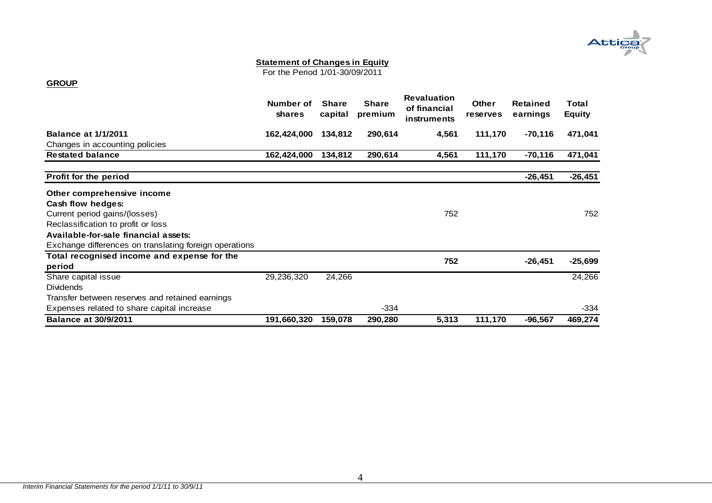# **Attic**

#### **Statement of Changes in Equity**

For the Period 1/01-30/09/2011

#### **GROUP**

|                                                        | Number of<br><b>shares</b> | <b>Share</b><br>capital | <b>Share</b><br>premium | <b>Revaluation</b><br>of financial<br>instruments | <b>Other</b><br><b>reserves</b> | <b>Retained</b><br>earnings | Total<br><b>Equity</b> |
|--------------------------------------------------------|----------------------------|-------------------------|-------------------------|---------------------------------------------------|---------------------------------|-----------------------------|------------------------|
| <b>Balance at 1/1/2011</b>                             | 162,424,000                | 134,812                 | 290,614                 | 4,561                                             | 111,170                         | -70,116                     | 471,041                |
| Changes in accounting policies                         |                            |                         |                         |                                                   |                                 |                             |                        |
| <b>Restated balance</b>                                | 162,424,000                | 134,812                 | 290,614                 | 4,561                                             | 111,170                         | $-70,116$                   | 471,041                |
| Profit for the period                                  |                            |                         |                         |                                                   |                                 | $-26,451$                   | $-26,451$              |
| Other comprehensive income                             |                            |                         |                         |                                                   |                                 |                             |                        |
| Cash flow hedges:                                      |                            |                         |                         |                                                   |                                 |                             |                        |
| Current period gains/(losses)                          |                            |                         |                         | 752                                               |                                 |                             | 752                    |
| Reclassification to profit or loss                     |                            |                         |                         |                                                   |                                 |                             |                        |
| Available-for-sale financial assets:                   |                            |                         |                         |                                                   |                                 |                             |                        |
| Exchange differences on translating foreign operations |                            |                         |                         |                                                   |                                 |                             |                        |
| Total recognised income and expense for the            |                            |                         |                         |                                                   |                                 |                             |                        |
| period                                                 |                            |                         |                         | 752                                               |                                 | $-26,451$                   | $-25,699$              |
| Share capital issue                                    | 29,236,320                 | 24,266                  |                         |                                                   |                                 |                             | 24,266                 |
| <b>Dividends</b>                                       |                            |                         |                         |                                                   |                                 |                             |                        |
| Transfer between reserves and retained earnings        |                            |                         |                         |                                                   |                                 |                             |                        |
| Expenses related to share capital increase             |                            |                         | $-334$                  |                                                   |                                 |                             | -334                   |
| <b>Balance at 30/9/2011</b>                            | 191,660,320                | 159,078                 | 290,280                 | 5,313                                             | 111,170                         | $-96,567$                   | 469,274                |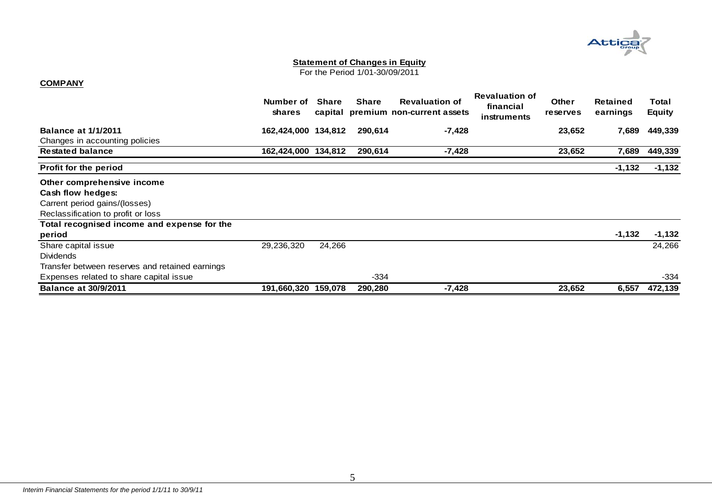

#### **Statement of Changes in Equity**

For the Period 1/01-30/09/2011

#### **COMPANY**

|                                                 | Number of<br><b>shares</b> | <b>Share</b> | <b>Share</b> | <b>Revaluation of</b><br>capital premium non-current assets | <b>Revaluation of</b><br>financial<br>instruments | <b>Other</b><br><b>reserves</b> | <b>Retained</b><br>earnings | Total<br><b>Equity</b> |
|-------------------------------------------------|----------------------------|--------------|--------------|-------------------------------------------------------------|---------------------------------------------------|---------------------------------|-----------------------------|------------------------|
| <b>Balance at 1/1/2011</b>                      | 162,424,000 134,812        |              | 290,614      | $-7,428$                                                    |                                                   | 23,652                          | 7,689                       | 449,339                |
| Changes in accounting policies                  |                            |              |              |                                                             |                                                   |                                 |                             |                        |
| <b>Restated balance</b>                         | 162,424,000 134,812        |              | 290,614      | -7,428                                                      |                                                   | 23,652                          | 7,689                       | 449,339                |
| <b>Profit for the period</b>                    |                            |              |              |                                                             |                                                   |                                 | $-1,132$                    | $-1,132$               |
| Other comprehensive income                      |                            |              |              |                                                             |                                                   |                                 |                             |                        |
| Cash flow hedges:                               |                            |              |              |                                                             |                                                   |                                 |                             |                        |
| Carrent period gains/(losses)                   |                            |              |              |                                                             |                                                   |                                 |                             |                        |
| Reclassification to profit or loss              |                            |              |              |                                                             |                                                   |                                 |                             |                        |
| Total recognised income and expense for the     |                            |              |              |                                                             |                                                   |                                 |                             |                        |
| period                                          |                            |              |              |                                                             |                                                   |                                 | $-1,132$                    | $-1,132$               |
| Share capital issue                             | 29,236,320                 | 24,266       |              |                                                             |                                                   |                                 |                             | 24,266                 |
| <b>Dividends</b>                                |                            |              |              |                                                             |                                                   |                                 |                             |                        |
| Transfer between reserves and retained earnings |                            |              |              |                                                             |                                                   |                                 |                             |                        |
| Expenses related to share capital issue         |                            |              | $-334$       |                                                             |                                                   |                                 |                             | $-334$                 |
| <b>Balance at 30/9/2011</b>                     | 191,660,320 159,078        |              | 290,280      | $-7,428$                                                    |                                                   | 23,652                          | 6,557                       | 472,139                |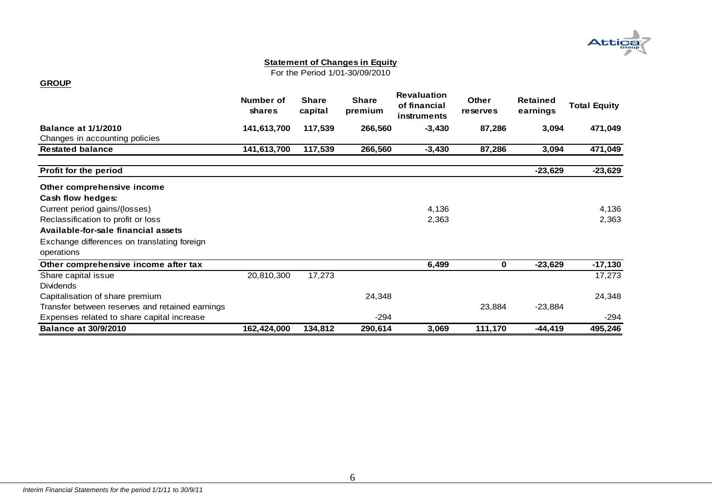

#### **Statement of Changes in Equity**

For the Period 1/01-30/09/2010

#### **GROUP**

|                                                           | Number of<br>shares | <b>Share</b><br>capital | <b>Share</b><br>premium | <b>Revaluation</b><br>of financial<br>instruments | <b>Other</b><br>reserves | <b>Retained</b><br>earnings | <b>Total Equity</b> |
|-----------------------------------------------------------|---------------------|-------------------------|-------------------------|---------------------------------------------------|--------------------------|-----------------------------|---------------------|
| <b>Balance at 1/1/2010</b>                                | 141,613,700         | 117,539                 | 266,560                 | $-3,430$                                          | 87,286                   | 3,094                       | 471,049             |
| Changes in accounting policies                            |                     |                         |                         |                                                   |                          |                             |                     |
| <b>Restated balance</b>                                   | 141,613,700         | 117,539                 | 266,560                 | $-3,430$                                          | 87,286                   | 3,094                       | 471,049             |
| Profit for the period                                     |                     |                         |                         |                                                   |                          | $-23,629$                   | $-23,629$           |
| Other comprehensive income                                |                     |                         |                         |                                                   |                          |                             |                     |
| Cash flow hedges:                                         |                     |                         |                         |                                                   |                          |                             |                     |
| Current period gains/(losses)                             |                     |                         |                         | 4,136                                             |                          |                             | 4,136               |
| Reclassification to profit or loss                        |                     |                         |                         | 2,363                                             |                          |                             | 2,363               |
| Available-for-sale financial assets                       |                     |                         |                         |                                                   |                          |                             |                     |
| Exchange differences on translating foreign<br>operations |                     |                         |                         |                                                   |                          |                             |                     |
| Other comprehensive income after tax                      |                     |                         |                         | 6,499                                             | 0                        | $-23,629$                   | $-17,130$           |
| Share capital issue                                       | 20,810,300          | 17,273                  |                         |                                                   |                          |                             | 17,273              |
| <b>Dividends</b>                                          |                     |                         |                         |                                                   |                          |                             |                     |
| Capitalisation of share premium                           |                     |                         | 24,348                  |                                                   |                          |                             | 24,348              |
| Transfer between reserves and retained earnings           |                     |                         |                         |                                                   | 23,884                   | $-23,884$                   |                     |
| Expenses related to share capital increase                |                     |                         | $-294$                  |                                                   |                          |                             | $-294$              |
| <b>Balance at 30/9/2010</b>                               | 162,424,000         | 134,812                 | 290,614                 | 3,069                                             | 111,170                  | $-44,419$                   | 495,246             |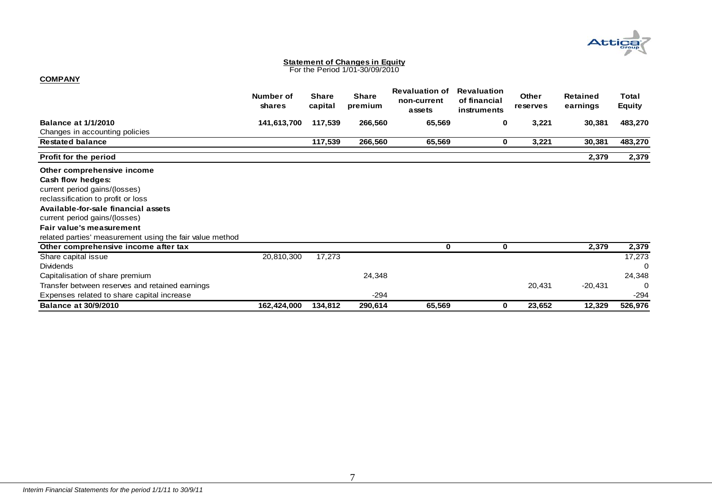

# **Statement of Changes in Equity** For the Period 1/01-30/09/2010

#### **COMPANY**

|                                                          | Number of<br>shares | <b>Share</b><br>capital | <b>Share</b><br>premium | <b>Revaluation of</b><br>non-current<br>assets | <b>Revaluation</b><br>of financial<br>instruments | <b>Other</b><br><b>reserves</b> | <b>Retained</b><br>earnings | Total<br><b>Equity</b> |
|----------------------------------------------------------|---------------------|-------------------------|-------------------------|------------------------------------------------|---------------------------------------------------|---------------------------------|-----------------------------|------------------------|
| <b>Balance at 1/1/2010</b>                               | 141,613,700         | 117,539                 | 266,560                 | 65,569                                         | 0                                                 | 3,221                           | 30,381                      | 483,270                |
| Changes in accounting policies                           |                     |                         |                         |                                                |                                                   |                                 |                             |                        |
| <b>Restated balance</b>                                  |                     | 117,539                 | 266,560                 | 65,569                                         | $\mathbf 0$                                       | 3,221                           | 30,381                      | 483,270                |
| Profit for the period                                    |                     |                         |                         |                                                |                                                   |                                 | 2,379                       | 2,379                  |
| Other comprehensive income                               |                     |                         |                         |                                                |                                                   |                                 |                             |                        |
| Cash flow hedges:                                        |                     |                         |                         |                                                |                                                   |                                 |                             |                        |
| current period gains/(losses)                            |                     |                         |                         |                                                |                                                   |                                 |                             |                        |
| reclassification to profit or loss                       |                     |                         |                         |                                                |                                                   |                                 |                             |                        |
| Available-for-sale financial assets                      |                     |                         |                         |                                                |                                                   |                                 |                             |                        |
| current period gains/(losses)                            |                     |                         |                         |                                                |                                                   |                                 |                             |                        |
| Fair value's measurement                                 |                     |                         |                         |                                                |                                                   |                                 |                             |                        |
| related parties' measurement using the fair value method |                     |                         |                         |                                                |                                                   |                                 |                             |                        |
| Other comprehensive income after tax                     |                     |                         |                         | 0                                              | $\mathbf 0$                                       |                                 | 2,379                       | 2,379                  |
| Share capital issue                                      | 20,810,300          | 17,273                  |                         |                                                |                                                   |                                 |                             | 17,273                 |
| <b>Dividends</b>                                         |                     |                         |                         |                                                |                                                   |                                 |                             | 0                      |
| Capitalisation of share premium                          |                     |                         | 24,348                  |                                                |                                                   |                                 |                             | 24,348                 |
| Transfer between reserves and retained earnings          |                     |                         |                         |                                                |                                                   | 20,431                          | $-20,431$                   | $\Omega$               |
| Expenses related to share capital increase               |                     |                         | $-294$                  |                                                |                                                   |                                 |                             | $-294$                 |
| <b>Balance at 30/9/2010</b>                              | 162,424,000         | 134,812                 | 290,614                 | 65,569                                         | 0                                                 | 23,652                          | 12,329                      | 526,976                |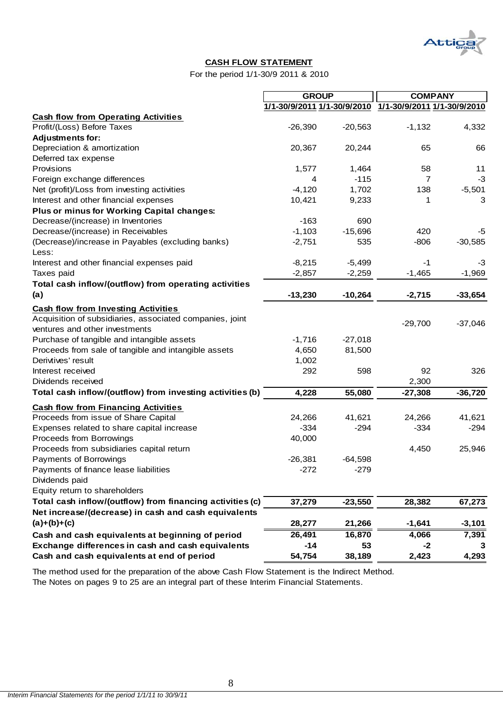

#### **CASH FLOW STATEMENT**

For the period 1/1-30/9 2011 & 2010

|                                                                                    | <b>GROUP</b> |           | <b>COMPANY</b>                                          |           |
|------------------------------------------------------------------------------------|--------------|-----------|---------------------------------------------------------|-----------|
|                                                                                    |              |           | 1/1-30/9/2011 1/1-30/9/2010 1/1-30/9/2011 1/1-30/9/2010 |           |
| <b>Cash flow from Operating Activities</b>                                         |              |           |                                                         |           |
| Profit/(Loss) Before Taxes                                                         | $-26,390$    | $-20,563$ | $-1,132$                                                | 4,332     |
| <b>Adjustments for:</b>                                                            |              |           |                                                         |           |
| Depreciation & amortization                                                        | 20,367       | 20,244    | 65                                                      | 66        |
| Deferred tax expense                                                               |              |           |                                                         |           |
| Provisions                                                                         | 1,577        | 1,464     | 58                                                      | 11        |
| Foreign exchange differences                                                       | 4            | $-115$    | 7                                                       | $-3$      |
| Net (profit)/Loss from investing activities                                        | $-4,120$     | 1,702     | 138                                                     | $-5,501$  |
| Interest and other financial expenses                                              | 10,421       | 9,233     | 1                                                       | 3         |
| Plus or minus for Working Capital changes:                                         |              |           |                                                         |           |
| Decrease/(increase) in Inventories                                                 | $-163$       | 690       |                                                         |           |
| Decrease/(increase) in Receivables                                                 | $-1,103$     | $-15,696$ | 420                                                     | $-5$      |
| (Decrease)/increase in Payables (excluding banks)                                  | $-2,751$     | 535       | $-806$                                                  | $-30,585$ |
| Less:                                                                              |              |           |                                                         |           |
| Interest and other financial expenses paid                                         | $-8,215$     | $-5,499$  | $-1$                                                    | $-3$      |
| Taxes paid                                                                         | $-2,857$     | $-2,259$  | $-1,465$                                                | $-1,969$  |
| Total cash inflow/(outflow) from operating activities                              |              |           |                                                         |           |
| (a)                                                                                | $-13,230$    | $-10,264$ | $-2,715$                                                | $-33,654$ |
| <b>Cash flow from Investing Activities</b>                                         |              |           |                                                         |           |
| Acquisition of subsidiaries, associated companies, joint                           |              |           |                                                         |           |
| ventures and other investments                                                     |              |           | $-29,700$                                               | $-37,046$ |
| Purchase of tangible and intangible assets                                         | $-1,716$     | $-27,018$ |                                                         |           |
| Proceeds from sale of tangible and intangible assets                               | 4,650        | 81,500    |                                                         |           |
| Derivtives' result                                                                 | 1,002        |           |                                                         |           |
| Interest received                                                                  | 292          | 598       | 92                                                      | 326       |
| Dividends received                                                                 |              |           | 2,300                                                   |           |
| Total cash inflow/(outflow) from investing activities (b)                          | 4,228        | 55,080    | $-27,308$                                               | $-36,720$ |
|                                                                                    |              |           |                                                         |           |
| <b>Cash flow from Financing Activities</b><br>Proceeds from issue of Share Capital | 24,266       | 41,621    | 24,266                                                  | 41,621    |
|                                                                                    | $-334$       | $-294$    | $-334$                                                  |           |
| Expenses related to share capital increase                                         |              |           |                                                         | $-294$    |
| Proceeds from Borrowings<br>Proceeds from subsidiaries capital return              | 40,000       |           | 4,450                                                   |           |
|                                                                                    |              |           |                                                         | 25,946    |
| Payments of Borrowings                                                             | $-26,381$    | $-64,598$ |                                                         |           |
| Payments of finance lease liabilities                                              | $-272$       | $-279$    |                                                         |           |
| Dividends paid                                                                     |              |           |                                                         |           |
| Equity return to shareholders                                                      |              |           |                                                         |           |
| Total cash inflow/(outflow) from financing activities (c)                          | 37,279       | $-23,550$ | 28,382                                                  | 67,273    |
| Net increase/(decrease) in cash and cash equivalents                               |              |           |                                                         |           |
| $(a)+(b)+(c)$                                                                      | 28,277       | 21,266    | $-1,641$                                                | $-3,101$  |
| Cash and cash equivalents at beginning of period                                   | 26,491       | 16,870    | 4,066                                                   | 7,391     |
| Exchange differences in cash and cash equivalents                                  | $-14$        | 53        | $-2$                                                    | 3         |
| Cash and cash equivalents at end of period                                         | 54,754       | 38,189    | 2,423                                                   | 4,293     |

The method used for the preparation of the above Cash Flow Statement is the Indirect Method.

The Notes on pages 9 to 25 are an integral part of these Interim Financial Statements.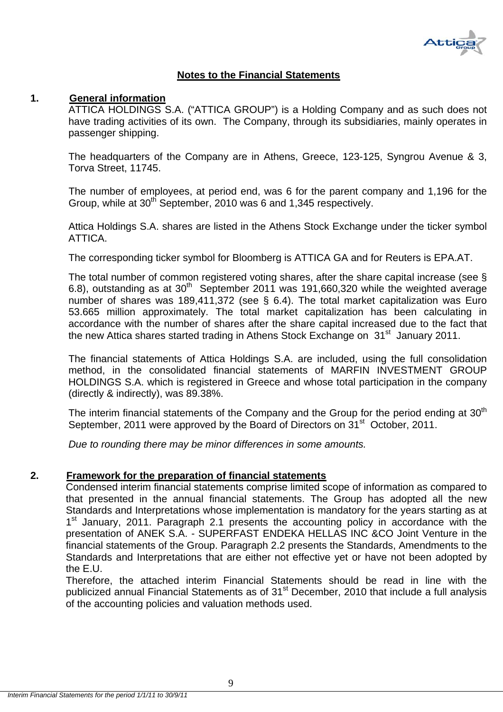

#### **Notes to the Financial Statements**

#### **1. General information**

ATTICA HOLDINGS S.A. ("ATTICA GROUP") is a Holding Company and as such does not have trading activities of its own. The Company, through its subsidiaries, mainly operates in passenger shipping.

The headquarters of the Company are in Athens, Greece, 123-125, Syngrou Avenue & 3, Torva Street, 11745.

The number of employees, at period end, was 6 for the parent company and 1,196 for the Group, while at  $30<sup>th</sup>$  September, 2010 was 6 and 1,345 respectively.

Attica Holdings S.A. shares are listed in the Athens Stock Exchange under the ticker symbol ATTICA.

The corresponding ticker symbol for Bloomberg is ATTICA GA and for Reuters is EPA.AT.

The total number of common registered voting shares, after the share capital increase (see § 6.8), outstanding as at  $30<sup>th</sup>$  September 2011 was 191,660,320 while the weighted average number of shares was 189,411,372 (see § 6.4). The total market capitalization was Euro 53.665 million approximately. The total market capitalization has been calculating in accordance with the number of shares after the share capital increased due to the fact that the new Attica shares started trading in Athens Stock Exchange on 31<sup>st</sup> January 2011.

The financial statements of Attica Holdings S.A. are included, using the full consolidation method, in the consolidated financial statements of MARFIN INVESTMENT GROUP HOLDINGS S.A. which is registered in Greece and whose total participation in the company (directly & indirectly), was 89.38%.

The interim financial statements of the Company and the Group for the period ending at  $30<sup>th</sup>$ September, 2011 were approved by the Board of Directors on 31<sup>st</sup> October, 2011.

*Due to rounding there may be minor differences in some amounts.* 

#### **2. Framework for the preparation of financial statements**

Condensed interim financial statements comprise limited scope of information as compared to that presented in the annual financial statements. The Group has adopted all the new Standards and Interpretations whose implementation is mandatory for the years starting as at 1<sup>st</sup> January, 2011. Paragraph 2.1 presents the accounting policy in accordance with the presentation of ANEK S.A. - SUPERFAST ENDEKA HELLAS INC &CO Joint Venture in the financial statements of the Group. Paragraph 2.2 presents the Standards, Amendments to the Standards and Interpretations that are either not effective yet or have not been adopted by the E.U.

Therefore, the attached interim Financial Statements should be read in line with the publicized annual Financial Statements as of 31<sup>st</sup> December, 2010 that include a full analysis of the accounting policies and valuation methods used.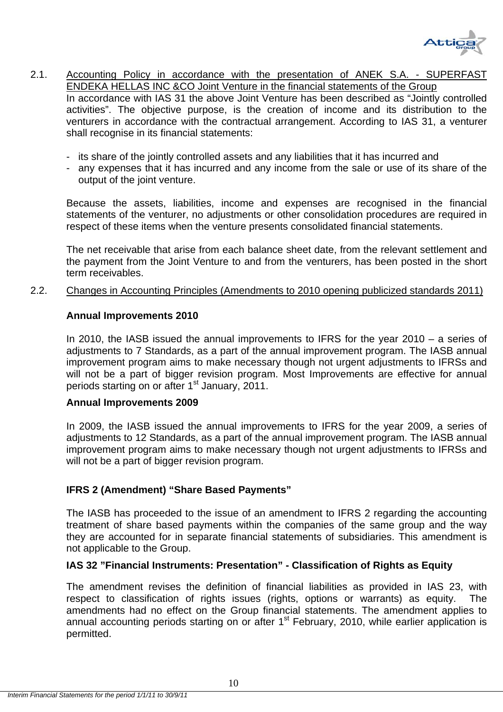

2.1. Accounting Policy in accordance with the presentation of ANEK S.A. - SUPERFAST ENDEKA HELLAS INC &CO Joint Venture in the financial statements of the Group In accordance with IAS 31 the above Joint Venture has been described as "Jointly controlled activities". The objective purpose, is the creation of income and its distribution to the venturers in accordance with the contractual arrangement. According to IAS 31, a venturer shall recognise in its financial statements:

- its share of the jointly controlled assets and any liabilities that it has incurred and
- any expenses that it has incurred and any income from the sale or use of its share of the output of the joint venture.

Because the assets, liabilities, income and expenses are recognised in the financial statements of the venturer, no adjustments or other consolidation procedures are required in respect of these items when the venture presents consolidated financial statements.

The net receivable that arise from each balance sheet date, from the relevant settlement and the payment from the Joint Venture to and from the venturers, has been posted in the short term receivables.

2.2. Changes in Accounting Principles (Amendments to 2010 opening publicized standards 2011)

#### **Annual Improvements 2010**

In 2010, the IASB issued the annual improvements to IFRS for the year 2010 – a series of adjustments to 7 Standards, as a part of the annual improvement program. The IASB annual improvement program aims to make necessary though not urgent adjustments to IFRSs and will not be a part of bigger revision program. Most Improvements are effective for annual periods starting on or after 1<sup>st</sup> January, 2011.

#### **Annual Improvements 2009**

In 2009, the IASB issued the annual improvements to IFRS for the year 2009, a series of adjustments to 12 Standards, as a part of the annual improvement program. The IASB annual improvement program aims to make necessary though not urgent adjustments to IFRSs and will not be a part of bigger revision program.

#### **IFRS 2 (Amendment) "Share Based Payments"**

The IASB has proceeded to the issue of an amendment to IFRS 2 regarding the accounting treatment of share based payments within the companies of the same group and the way they are accounted for in separate financial statements of subsidiaries. This amendment is not applicable to the Group.

#### **IAS 32 "Financial Instruments: Presentation" - Classification of Rights as Equity**

The amendment revises the definition of financial liabilities as provided in IAS 23, with respect to classification of rights issues (rights, options or warrants) as equity. The amendments had no effect on the Group financial statements. The amendment applies to annual accounting periods starting on or after  $1<sup>st</sup>$  February, 2010, while earlier application is permitted.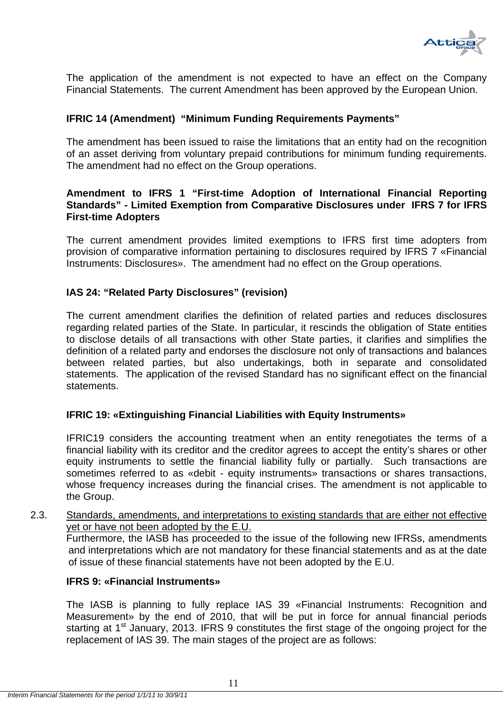

The application of the amendment is not expected to have an effect on the Company Financial Statements. The current Amendment has been approved by the European Union.

#### **IFRIC 14 (Amendment) "Minimum Funding Requirements Payments"**

The amendment has been issued to raise the limitations that an entity had on the recognition of an asset deriving from voluntary prepaid contributions for minimum funding requirements. The amendment had no effect on the Group operations.

#### **Amendment to IFRS 1 "First-time Adoption of International Financial Reporting Standards" - Limited Exemption from Comparative Disclosures under IFRS 7 for IFRS First-time Adopters**

The current amendment provides limited exemptions to IFRS first time adopters from provision of comparative information pertaining to disclosures required by IFRS 7 «Financial Instruments: Disclosures». The amendment had no effect on the Group operations.

## **IAS 24: "Related Party Disclosures" (revision)**

The current amendment clarifies the definition of related parties and reduces disclosures regarding related parties of the State. In particular, it rescinds the obligation of State entities to disclose details of all transactions with other State parties, it clarifies and simplifies the definition of a related party and endorses the disclosure not only of transactions and balances between related parties, but also undertakings, both in separate and consolidated statements. The application of the revised Standard has no significant effect on the financial statements.

#### **IFRIC 19: «Extinguishing Financial Liabilities with Equity Instruments»**

IFRIC19 considers the accounting treatment when an entity renegotiates the terms of a financial liability with its creditor and the creditor agrees to accept the entity's shares or other equity instruments to settle the financial liability fully or partially. Such transactions are sometimes referred to as «debit - equity instruments» transactions or shares transactions, whose frequency increases during the financial crises. The amendment is not applicable to the Group.

#### 2.3. Standards, amendments, and interpretations to existing standards that are either not effective yet or have not been adopted by the E.U.

Furthermore, the IASB has proceeded to the issue of the following new IFRSs, amendments and interpretations which are not mandatory for these financial statements and as at the date of issue of these financial statements have not been adopted by the E.U.

#### **IFRS 9: «Financial Instruments»**

The IASB is planning to fully replace IAS 39 «Financial Instruments: Recognition and Measurement» by the end of 2010, that will be put in force for annual financial periods starting at 1<sup>st</sup> January, 2013. IFRS 9 constitutes the first stage of the ongoing project for the replacement of IAS 39. The main stages of the project are as follows: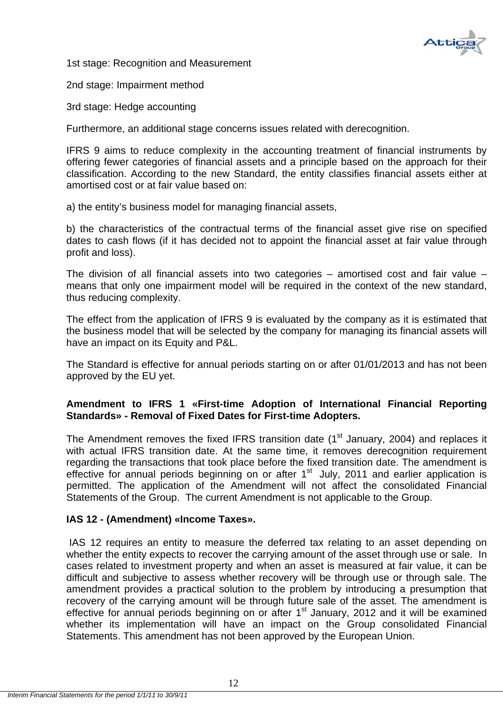

1st stage: Recognition and Measurement

2nd stage: Impairment method

3rd stage: Hedge accounting

Furthermore, an additional stage concerns issues related with derecognition.

IFRS 9 aims to reduce complexity in the accounting treatment of financial instruments by offering fewer categories of financial assets and a principle based on the approach for their classification. According to the new Standard, the entity classifies financial assets either at amortised cost or at fair value based on:

a) the entity's business model for managing financial assets,

b) the characteristics of the contractual terms of the financial asset give rise on specified dates to cash flows (if it has decided not to appoint the financial asset at fair value through profit and loss).

The division of all financial assets into two categories – amortised cost and fair value – means that only one impairment model will be required in the context of the new standard, thus reducing complexity.

The effect from the application of IFRS 9 is evaluated by the company as it is estimated that the business model that will be selected by the company for managing its financial assets will have an impact on its Equity and P&L.

The Standard is effective for annual periods starting on or after 01/01/2013 and has not been approved by the EU yet.

## **Amendment to IFRS 1 «First-time Adoption of International Financial Reporting Standards» - Removal of Fixed Dates for First-time Adopters.**

The Amendment removes the fixed IFRS transition date  $(1<sup>st</sup>$  January, 2004) and replaces it with actual IFRS transition date. At the same time, it removes derecognition requirement regarding the transactions that took place before the fixed transition date. The amendment is effective for annual periods beginning on or after  $1<sup>st</sup>$  July, 2011 and earlier application is permitted. The application of the Amendment will not affect the consolidated Financial Statements of the Group. The current Amendment is not applicable to the Group.

#### **IAS 12 - (Amendment) «Income Taxes».**

 IAS 12 requires an entity to measure the deferred tax relating to an asset depending on whether the entity expects to recover the carrying amount of the asset through use or sale. In cases related to investment property and when an asset is measured at fair value, it can be difficult and subjective to assess whether recovery will be through use or through sale. The amendment provides a practical solution to the problem by introducing a presumption that recovery of the carrying amount will be through future sale of the asset. The amendment is effective for annual periods beginning on or after 1<sup>st</sup> January, 2012 and it will be examined whether its implementation will have an impact on the Group consolidated Financial Statements. This amendment has not been approved by the European Union.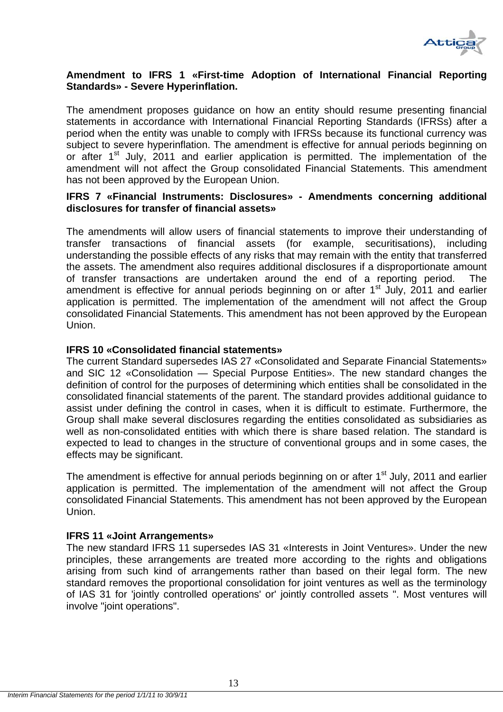

## **Amendment to IFRS 1 «First-time Adoption of International Financial Reporting Standards» - Severe Hyperinflation.**

The amendment proposes guidance on how an entity should resume presenting financial statements in accordance with International Financial Reporting Standards (IFRSs) after a period when the entity was unable to comply with IFRSs because its functional currency was subject to severe hyperinflation. The amendment is effective for annual periods beginning on or after 1<sup>st</sup> July, 2011 and earlier application is permitted. The implementation of the amendment will not affect the Group consolidated Financial Statements. This amendment has not been approved by the European Union.

#### **IFRS 7 «Financial Instruments: Disclosures» - Amendments concerning additional disclosures for transfer of financial assets»**

The amendments will allow users of financial statements to improve their understanding of transfer transactions of financial assets (for example, securitisations), including understanding the possible effects of any risks that may remain with the entity that transferred the assets. The amendment also requires additional disclosures if a disproportionate amount of transfer transactions are undertaken around the end of a reporting period. The amendment is effective for annual periods beginning on or after  $1<sup>st</sup>$  July, 2011 and earlier application is permitted. The implementation of the amendment will not affect the Group consolidated Financial Statements. This amendment has not been approved by the European Union.

#### **IFRS 10 «Consolidated financial statements»**

The current Standard supersedes IAS 27 «Consolidated and Separate Financial Statements» and SIC 12 «Consolidation — Special Purpose Entities». The new standard changes the definition of control for the purposes of determining which entities shall be consolidated in the consolidated financial statements of the parent. The standard provides additional guidance to assist under defining the control in cases, when it is difficult to estimate. Furthermore, the Group shall make several disclosures regarding the entities consolidated as subsidiaries as well as non-consolidated entities with which there is share based relation. The standard is expected to lead to changes in the structure of conventional groups and in some cases, the effects may be significant.

The amendment is effective for annual periods beginning on or after 1<sup>st</sup> July, 2011 and earlier application is permitted. The implementation of the amendment will not affect the Group consolidated Financial Statements. This amendment has not been approved by the European Union.

#### **IFRS 11 «Joint Arrangements»**

The new standard IFRS 11 supersedes IAS 31 «Interests in Joint Ventures». Under the new principles, these arrangements are treated more according to the rights and obligations arising from such kind of arrangements rather than based on their legal form. The new standard removes the proportional consolidation for joint ventures as well as the terminology of IAS 31 for 'jointly controlled operations' or' jointly controlled assets ". Most ventures will involve "joint operations".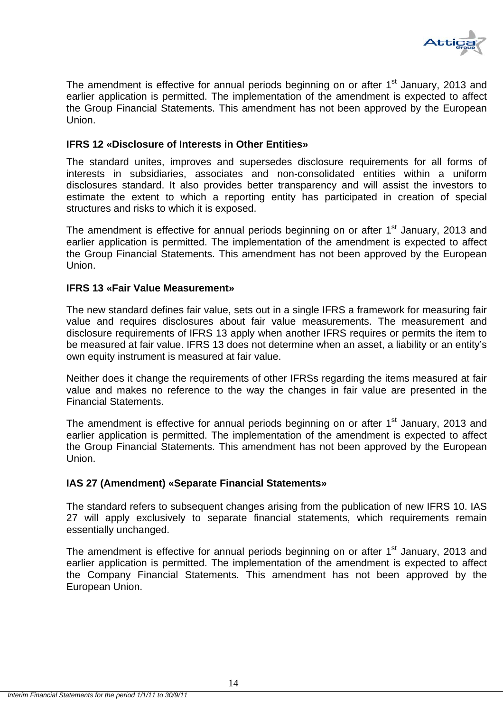

The amendment is effective for annual periods beginning on or after 1<sup>st</sup> January, 2013 and earlier application is permitted. The implementation of the amendment is expected to affect the Group Financial Statements. This amendment has not been approved by the European Union.

#### **IFRS 12 «Disclosure of Interests in Other Entities»**

The standard unites, improves and supersedes disclosure requirements for all forms of interests in subsidiaries, associates and non-consolidated entities within a uniform disclosures standard. It also provides better transparency and will assist the investors to estimate the extent to which a reporting entity has participated in creation of special structures and risks to which it is exposed.

The amendment is effective for annual periods beginning on or after  $1<sup>st</sup>$  January, 2013 and earlier application is permitted. The implementation of the amendment is expected to affect the Group Financial Statements. This amendment has not been approved by the European Union.

#### **IFRS 13 «Fair Value Measurement»**

The new standard defines fair value, sets out in a single IFRS a framework for measuring fair value and requires disclosures about fair value measurements. The measurement and disclosure requirements of IFRS 13 apply when another IFRS requires or permits the item to be measured at fair value. IFRS 13 does not determine when an asset, a liability or an entity's own equity instrument is measured at fair value.

Neither does it change the requirements of other IFRSs regarding the items measured at fair value and makes no reference to the way the changes in fair value are presented in the Financial Statements.

The amendment is effective for annual periods beginning on or after 1<sup>st</sup> January, 2013 and earlier application is permitted. The implementation of the amendment is expected to affect the Group Financial Statements. This amendment has not been approved by the European Union.

#### **IAS 27 (Amendment) «Separate Financial Statements»**

The standard refers to subsequent changes arising from the publication of new IFRS 10. IAS 27 will apply exclusively to separate financial statements, which requirements remain essentially unchanged.

The amendment is effective for annual periods beginning on or after 1<sup>st</sup> January, 2013 and earlier application is permitted. The implementation of the amendment is expected to affect the Company Financial Statements. This amendment has not been approved by the European Union.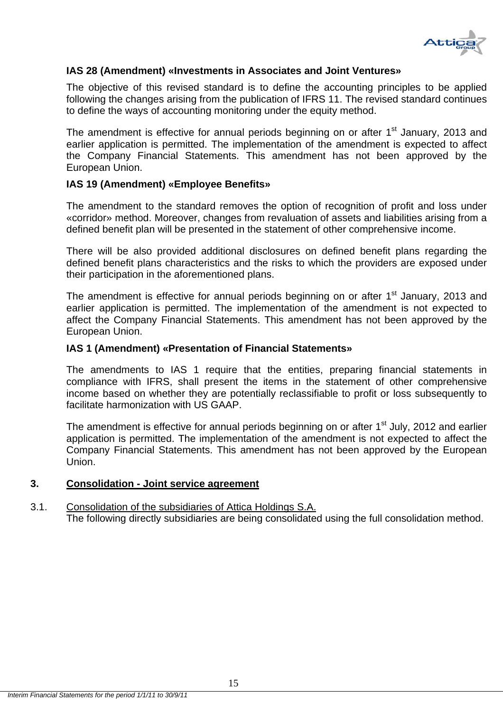

#### **IAS 28 (Amendment) «Investments in Associates and Joint Ventures»**

The objective of this revised standard is to define the accounting principles to be applied following the changes arising from the publication of IFRS 11. The revised standard continues to define the ways of accounting monitoring under the equity method.

The amendment is effective for annual periods beginning on or after  $1<sup>st</sup>$  January, 2013 and earlier application is permitted. The implementation of the amendment is expected to affect the Company Financial Statements. This amendment has not been approved by the European Union.

#### **IAS 19 (Amendment) «Employee Benefits»**

The amendment to the standard removes the option of recognition of profit and loss under «corridor» method. Moreover, changes from revaluation of assets and liabilities arising from a defined benefit plan will be presented in the statement of other comprehensive income.

There will be also provided additional disclosures on defined benefit plans regarding the defined benefit plans characteristics and the risks to which the providers are exposed under their participation in the aforementioned plans.

The amendment is effective for annual periods beginning on or after  $1<sup>st</sup>$  January, 2013 and earlier application is permitted. The implementation of the amendment is not expected to affect the Company Financial Statements. This amendment has not been approved by the European Union.

#### **IAS 1 (Amendment) «Presentation of Financial Statements»**

The amendments to IAS 1 require that the entities, preparing financial statements in compliance with IFRS, shall present the items in the statement of other comprehensive income based on whether they are potentially reclassifiable to profit or loss subsequently to facilitate harmonization with US GAAP.

The amendment is effective for annual periods beginning on or after  $1<sup>st</sup>$  July, 2012 and earlier application is permitted. The implementation of the amendment is not expected to affect the Company Financial Statements. This amendment has not been approved by the European Union.

#### **3. Consolidation - Joint service agreement**

#### 3.1. Consolidation of the subsidiaries of Attica Holdings S.A. The following directly subsidiaries are being consolidated using the full consolidation method.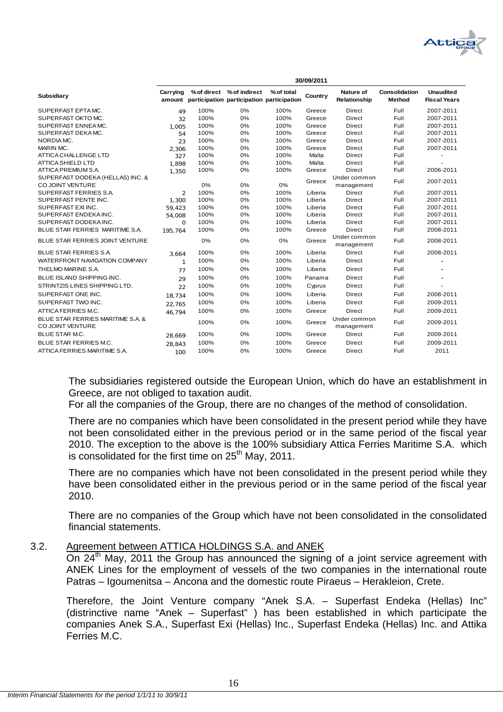

| <b>Subsidiary</b>                                            | Carrying    |      | % of direct % of indirect<br>amount participation participation participation | % of total | Country | Nature of<br>Relationship  | <b>Consolidation</b><br>Method | <b>Unaudited</b><br><b>Fiscal Years</b> |
|--------------------------------------------------------------|-------------|------|-------------------------------------------------------------------------------|------------|---------|----------------------------|--------------------------------|-----------------------------------------|
| SUPERFAST EPTAMC.                                            | 49          | 100% | 0%                                                                            | 100%       | Greece  | <b>Direct</b>              | Full                           | 2007-2011                               |
| SUPERFAST OKTO MC.                                           | 32          | 100% | 0%                                                                            | 100%       | Greece  | <b>Direct</b>              | Full                           | 2007-2011                               |
| SUPERFAST ENNEA MC.                                          | 1.005       | 100% | 0%                                                                            | 100%       | Greece  | <b>Direct</b>              | Full                           | 2007-2011                               |
| SUPERFAST DEKAMC.                                            | 54          | 100% | 0%                                                                            | 100%       | Greece  | Direct                     | Full                           | 2007-2011                               |
| NORDIAMC.                                                    | 23          | 100% | 0%                                                                            | 100%       | Greece  | <b>Direct</b>              | Full                           | 2007-2011                               |
| MARIN MC.                                                    | 2.306       | 100% | 0%                                                                            | 100%       | Greece  | Direct                     | Full                           | 2007-2011                               |
| <b>ATTICA CHALLENGE LTD</b>                                  | 327         | 100% | 0%                                                                            | 100%       | Malta   | <b>Direct</b>              | Full                           |                                         |
| <b>ATTICA SHIELD LTD</b>                                     | 1.898       | 100% | 0%                                                                            | 100%       | Malta   | <b>Direct</b>              | Full                           |                                         |
| ATTICA PREMIUM S.A.                                          | 1,350       | 100% | 0%                                                                            | 100%       | Greece  | <b>Direct</b>              | Full                           | 2006-2011                               |
| SUPERFAST DODEKA (HELLAS) INC. &<br>CO JOINT VENTURE         |             | 0%   | 0%                                                                            | 0%         | Greece  | Under common<br>management | Full                           | 2007-2011                               |
| SUPERFAST FERRIES S.A.                                       | 2           | 100% | 0%                                                                            | 100%       | Liberia | <b>Direct</b>              | Full                           | 2007-2011                               |
| SUPERFAST PENTE INC.                                         | 1,300       | 100% | 0%                                                                            | 100%       | Liberia | <b>Direct</b>              | Full                           | 2007-2011                               |
| SUPERFAST EXI INC.                                           | 59,423      | 100% | 0%                                                                            | 100%       | Liberia | <b>Direct</b>              | Full                           | 2007-2011                               |
| SUPERFAST ENDEKAINC.                                         | 54,008      | 100% | 0%                                                                            | 100%       | Liberia | <b>Direct</b>              | Full                           | 2007-2011                               |
| SUPERFAST DODEKA INC.                                        | $\mathbf 0$ | 100% | 0%                                                                            | 100%       | Liberia | <b>Direct</b>              | Full                           | 2007-2011                               |
| BLUE STAR FERRIES MARITIME S.A.                              | 195.764     | 100% | 0%                                                                            | 100%       | Greece  | <b>Direct</b>              | Full                           | 2008-2011                               |
| BLUE STAR FERRIES JOINT VENTURE                              |             | 0%   | 0%                                                                            | 0%         | Greece  | Under common<br>management | Full                           | 2008-2011                               |
| <b>BLUE STAR FERRIES S.A.</b>                                | 3.664       | 100% | 0%                                                                            | 100%       | Liberia | <b>Direct</b>              | Full                           | 2008-2011                               |
| WATERFRONT NAVIGATION COMPANY                                | 1           | 100% | 0%                                                                            | 100%       | Liberia | <b>Direct</b>              | Full                           |                                         |
| THELMO MARINE S.A.                                           | 77          | 100% | 0%                                                                            | 100%       | Liberia | Direct                     | Full                           |                                         |
| BLUE ISLAND SHIPPING INC.                                    | 29          | 100% | 0%                                                                            | 100%       | Panama  | Direct                     | Full                           |                                         |
| STRINTZIS LINES SHIPPING LTD.                                | 22          | 100% | 0%                                                                            | 100%       | Cyprus  | Direct                     | Full                           |                                         |
| SUPERFAST ONE INC.                                           | 18.734      | 100% | 0%                                                                            | 100%       | Liberia | Direct                     | Full                           | 2008-2011                               |
| SUPERFAST TWO INC.                                           | 22.765      | 100% | 0%                                                                            | 100%       | Liberia | <b>Direct</b>              | Full                           | 2009-2011                               |
| ATTICA FERRIES M.C.                                          | 46.794      | 100% | 0%                                                                            | 100%       | Greece  | Direct                     | Full                           | 2009-2011                               |
| BLUE STAR FERRIES MARITIME S.A. &<br><b>CO JOINT VENTURE</b> |             | 100% | 0%                                                                            | 100%       | Greece  | Under common<br>management | Full                           | 2009-2011                               |
| <b>BLUE STAR M.C.</b>                                        | 28.669      | 100% | 0%                                                                            | 100%       | Greece  | <b>Direct</b>              | Full                           | 2009-2011                               |
| <b>BLUE STAR FERRIES M.C.</b>                                | 28.843      | 100% | 0%                                                                            | 100%       | Greece  | <b>Direct</b>              | Full                           | 2009-2011                               |
| ATTICA FERRIES MARITIME S.A.                                 | 100         | 100% | 0%                                                                            | 100%       | Greece  | <b>Direct</b>              | Full                           | 2011                                    |

The subsidiaries registered outside the European Union, which do have an establishment in Greece, are not obliged to taxation audit.

For all the companies of the Group, there are no changes of the method of consolidation.

There are no companies which have been consolidated in the present period while they have not been consolidated either in the previous period or in the same period of the fiscal year 2010. The exception to the above is the 100% subsidiary Attica Ferries Maritime S.A. which is consolidated for the first time on  $25<sup>th</sup>$  May, 2011.

There are no companies which have not been consolidated in the present period while they have been consolidated either in the previous period or in the same period of the fiscal year 2010.

There are no companies of the Group which have not been consolidated in the consolidated financial statements.

#### 3.2. Agreement between ATTICA HOLDINGS S.A. and ANEK

On 24<sup>th</sup> May, 2011 the Group has announced the signing of a joint service agreement with ANEK Lines for the employment of vessels of the two companies in the international route Patras – Igoumenitsa – Ancona and the domestic route Piraeus – Herakleion, Crete.

Therefore, the Joint Venture company "Anek S.A. – Superfast Endeka (Hellas) Inc" (distrinctive name "Anek – Superfast" ) has been established in which participate the companies Anek S.A., Superfast Exi (Hellas) Inc., Superfast Endeka (Hellas) Inc. and Attika Ferries M.C.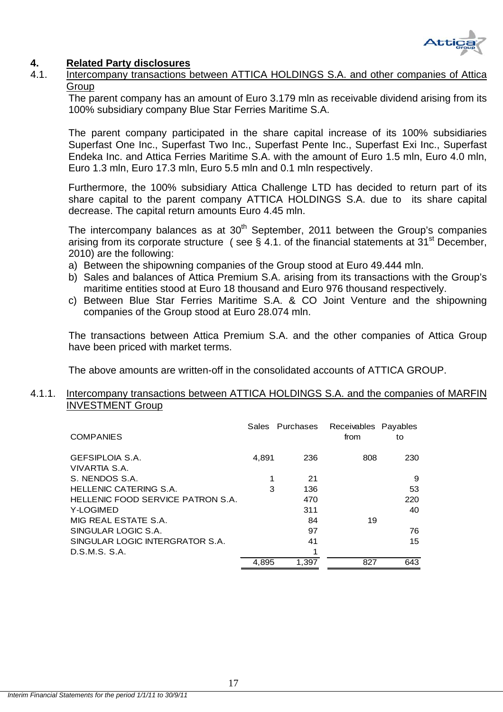

## **4. Related Party disclosures**

4.1. Intercompany transactions between ATTICA HOLDINGS S.A. and other companies of Attica **Group** 

The parent company has an amount of Euro 3.179 mln as receivable dividend arising from its 100% subsidiary company Blue Star Ferries Maritime S.A.

The parent company participated in the share capital increase of its 100% subsidiaries Superfast One Inc., Superfast Two Inc., Superfast Pente Inc., Superfast Exi Inc., Superfast Endeka Inc. and Attica Ferries Maritime S.A. with the amount of Euro 1.5 mln, Euro 4.0 mln, Euro 1.3 mln, Euro 17.3 mln, Euro 5.5 mln and 0.1 mln respectively.

Furthermore, the 100% subsidiary Attica Challenge LTD has decided to return part of its share capital to the parent company ATTICA HOLDINGS S.A. due to its share capital decrease. The capital return amounts Euro 4.45 mln.

The intercompany balances as at  $30<sup>th</sup>$  September, 2011 between the Group's companies arising from its corporate structure (see § 4.1. of the financial statements at 31<sup>st</sup> December, 2010) are the following:

- a) Between the shipowning companies of the Group stood at Euro 49.444 mln.
- b) Sales and balances of Attica Premium S.A. arising from its transactions with the Group's maritime entities stood at Euro 18 thousand and Euro 976 thousand respectively.
- c) Between Blue Star Ferries Maritime S.A. & CO Joint Venture and the shipowning companies of the Group stood at Euro 28.074 mln.

The transactions between Attica Premium S.A. and the other companies of Attica Group have been priced with market terms.

The above amounts are written-off in the consolidated accounts of ATTICA GROUP.

#### 4.1.1. Intercompany transactions between ATTICA HOLDINGS S.A. and the companies of MARFIN INVESTMENT Group

| <b>COMPANIES</b>                  |       | Sales Purchases | Receivables Payables<br>from | to  |
|-----------------------------------|-------|-----------------|------------------------------|-----|
| <b>GEFSIPLOIA S.A.</b>            | 4.891 | 236             | 808                          | 230 |
| VIVARTIA S.A.                     |       |                 |                              |     |
| S. NENDOS S.A.                    |       | 21              |                              | 9   |
| HELLENIC CATERING S.A.            | 3     | 136             |                              | 53  |
| HELLENIC FOOD SERVICE PATRON S.A. |       | 470             |                              | 220 |
| Y-LOGIMED                         |       | 311             |                              | 40  |
| MIG REAL ESTATE S.A.              |       | 84              | 19                           |     |
| SINGULAR LOGIC S.A.               |       | 97              |                              | 76  |
| SINGULAR LOGIC INTERGRATOR S.A.   |       | 41              |                              | 15  |
| D.S.M.S. S.A.                     |       | 1               |                              |     |
|                                   | 4.895 | 1.397           | 827                          | 643 |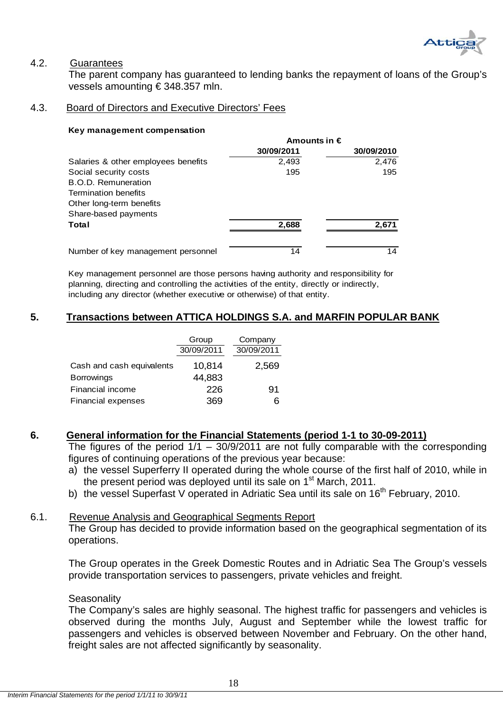

#### 4.2. Guarantees

 The parent company has guaranteed to lending banks the repayment of loans of the Group's vessels amounting € 348.357 mln.

#### 4.3. Board of Directors and Executive Directors' Fees

#### **Key management compensation**

|                                     | Amounts in $\epsilon$ |            |  |
|-------------------------------------|-----------------------|------------|--|
|                                     | 30/09/2011            | 30/09/2010 |  |
| Salaries & other employees benefits | 2,493                 | 2,476      |  |
| Social security costs               | 195                   | 195        |  |
| <b>B.O.D. Remuneration</b>          |                       |            |  |
| <b>Termination benefits</b>         |                       |            |  |
| Other long-term benefits            |                       |            |  |
| Share-based payments                |                       |            |  |
| Total                               | 2,688                 | 2,671      |  |
| Number of key management personnel  | 14                    | 14         |  |

Key management personnel are those persons having authority and responsibility for planning, directing and controlling the activities of the entity, directly or indirectly, including any director (whether executive or otherwise) of that entity.

#### **5. Transactions between ATTICA HOLDINGS S.A. and MARFIN POPULAR BANK**

|                           | Group      | Company    |
|---------------------------|------------|------------|
|                           | 30/09/2011 | 30/09/2011 |
| Cash and cash equivalents | 10,814     | 2,569      |
| <b>Borrowings</b>         | 44,883     |            |
| Financial income          | 226        | 91         |
| <b>Financial expenses</b> | 369        | 6          |

#### **6. General information for the Financial Statements (period 1-1 to 30-09-2011)**

The figures of the period  $1/1 - 30/9/2011$  are not fully comparable with the corresponding figures of continuing operations of the previous year because:

- a) the vessel Superferry II operated during the whole course of the first half of 2010, while in the present period was deployed until its sale on  $1<sup>st</sup>$  March, 2011.
- b) the vessel Superfast V operated in Adriatic Sea until its sale on  $16<sup>th</sup>$  February, 2010.

#### 6.1. Revenue Analysis and Geographical Segments Report

The Group has decided to provide information based on the geographical segmentation of its operations.

The Group operates in the Greek Domestic Routes and in Adriatic Sea The Group's vessels provide transportation services to passengers, private vehicles and freight.

#### **Seasonality**

The Company's sales are highly seasonal. The highest traffic for passengers and vehicles is observed during the months July, August and September while the lowest traffic for passengers and vehicles is observed between November and February. On the other hand, freight sales are not affected significantly by seasonality.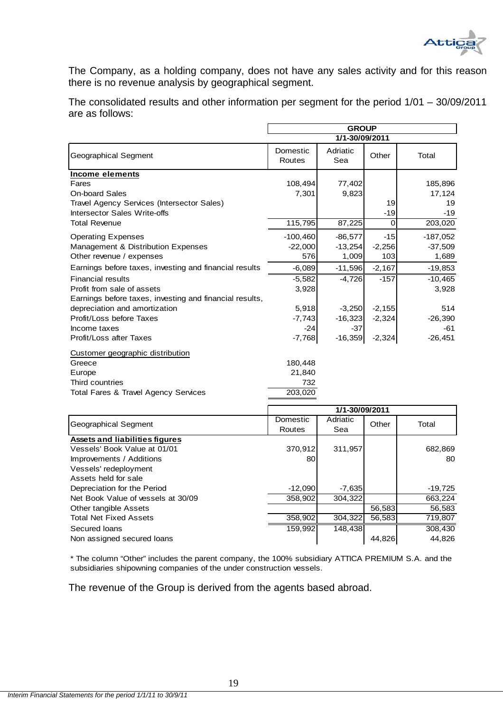

The Company, as a holding company, does not have any sales activity and for this reason there is no revenue analysis by geographical segment.

The consolidated results and other information per segment for the period 1/01 – 30/09/2011 are as follows:

|                                                         | <b>GROUP</b>       |                 |          |            |
|---------------------------------------------------------|--------------------|-----------------|----------|------------|
|                                                         |                    | 1/1-30/09/2011  |          |            |
| <b>Geographical Segment</b>                             | Domestic<br>Routes | Adriatic<br>Sea | Other    | Total      |
| <b>Income elements</b>                                  |                    |                 |          |            |
| Fares                                                   | 108,494            | 77,402          |          | 185,896    |
| <b>On-board Sales</b>                                   | 7,301              | 9,823           |          | 17,124     |
| Travel Agency Services (Intersector Sales)              |                    |                 | 19       | 19         |
| <b>Intersector Sales Write-offs</b>                     |                    |                 | $-19$    | $-19$      |
| <b>Total Revenue</b>                                    | 115,795            | 87,225          | $\Omega$ | 203,020    |
| <b>Operating Expenses</b>                               | $-100,460$         | $-86,577$       | $-15$    | $-187,052$ |
| <b>Management &amp; Distribution Expenses</b>           | $-22,000$          | $-13,254$       | $-2,256$ | $-37,509$  |
| Other revenue / expenses                                | 576                | 1,009           | 103      | 1,689      |
| Earnings before taxes, investing and financial results  | $-6,089$           | $-11,596$       | $-2,167$ | $-19,853$  |
| <b>Financial results</b>                                | $-5,582$           | $-4,726$        | $-157$   | $-10,465$  |
| Profit from sale of assets                              | 3,928              |                 |          | 3,928      |
| Earnings before taxes, investing and financial results, |                    |                 |          |            |
| depreciation and amortization                           | 5,918              | $-3,250$        | $-2,155$ | 514        |
| Profit/Loss before Taxes                                | $-7,743$           | $-16,323$       | $-2,324$ | $-26,390$  |
| Income taxes                                            | $-24$              | $-37$           |          | $-61$      |
| Profit/Loss after Taxes                                 | $-7,768$           | $-16,359$       | $-2,324$ | $-26,451$  |
| Customer geographic distribution                        |                    |                 |          |            |
| Greece                                                  | 180,448            |                 |          |            |
| Europe                                                  | 21,840             |                 |          |            |
| Third countries                                         | 732                |                 |          |            |
| Total Fares & Travel Agency Services                    | 203,020            |                 |          |            |
|                                                         |                    | 1/1-30/09/2011  |          |            |
|                                                         | Domestic           | Adriatic        |          |            |
| <b>Geographical Segment</b>                             | Routes             | Sea             | Other    | Total      |
| <b>Assets and liabilities figures</b>                   |                    |                 |          |            |
| Vessels' Book Value at 01/01                            | 370,912            | 311,957         |          | 682,869    |

| <b>Assets and liabilities figures</b> |           |          |        |         |
|---------------------------------------|-----------|----------|--------|---------|
| Vessels' Book Value at 01/01          | 370,912   | 311,957  |        | 682,869 |
| Improvements / Additions              | 80        |          |        | 80      |
| Vessels' redeployment                 |           |          |        |         |
| Assets held for sale                  |           |          |        |         |
| Depreciation for the Period           | $-12.090$ | $-7,635$ |        | -19,725 |
| Net Book Value of vessels at 30/09    | 358,902   | 304.322  |        | 663,224 |
| Other tangible Assets                 |           |          | 56,583 | 56,583  |
| <b>Total Net Fixed Assets</b>         | 358,902   | 304,322  | 56.583 | 719,807 |
| Secured Ioans                         | 159.992   | 148,438  |        | 308,430 |
| Non assigned secured loans            |           |          | 44,826 | 44,826  |

\* The column "Other" includes the parent company, the 100% subsidiary ATTICA PREMIUM S.A. and the subsidiaries shipowning companies of the under construction vessels.

The revenue of the Group is derived from the agents based abroad.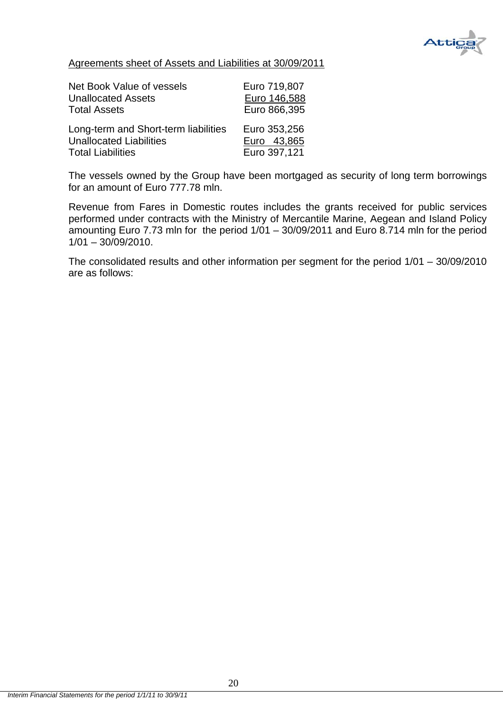

Agreements sheet of Assets and Liabilities at 30/09/2011

| Net Book Value of vessels            | Euro 719,807 |
|--------------------------------------|--------------|
| <b>Unallocated Assets</b>            | Euro 146,588 |
| <b>Total Assets</b>                  | Euro 866,395 |
| Long-term and Short-term liabilities | Euro 353,256 |
| <b>Unallocated Liabilities</b>       | Euro 43,865  |
| <b>Total Liabilities</b>             | Euro 397,121 |

The vessels owned by the Group have been mortgaged as security of long term borrowings for an amount of Euro 777.78 mln.

Revenue from Fares in Domestic routes includes the grants received for public services performed under contracts with the Ministry of Mercantile Marine, Aegean and Island Policy amounting Euro 7.73 mln for the period  $1/01 - 30/09/2011$  and Euro 8.714 mln for the period  $1/01 - 30/09/2010$ .

The consolidated results and other information per segment for the period 1/01 – 30/09/2010 are as follows: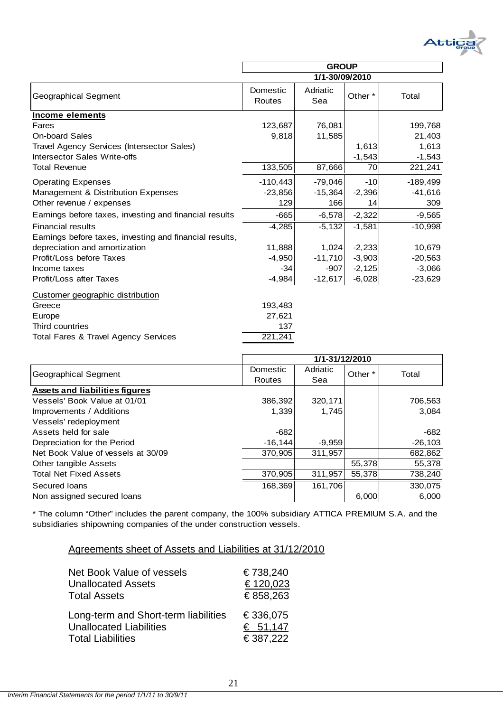

|                                                         | <b>GROUP</b>       |                 |          |            |
|---------------------------------------------------------|--------------------|-----------------|----------|------------|
|                                                         |                    | 1/1-30/09/2010  |          |            |
| <b>Geographical Segment</b>                             | Domestic<br>Routes | Adriatic<br>Sea | Other *  | Total      |
| Income elements                                         |                    |                 |          |            |
| Fares                                                   | 123,687            | 76,081          |          | 199,768    |
| <b>On-board Sales</b>                                   | 9,818              | 11,585          |          | 21,403     |
| Travel Agency Services (Intersector Sales)              |                    |                 | 1,613    | 1,613      |
| Intersector Sales Write-offs                            |                    |                 | $-1,543$ | $-1,543$   |
| <b>Total Revenue</b>                                    | 133,505            | 87,666          | 70       | 221,241    |
| <b>Operating Expenses</b>                               | $-110,443$         | $-79,046$       | $-10$    | $-189,499$ |
| Management & Distribution Expenses                      | $-23,856$          | $-15,364$       | $-2,396$ | $-41,616$  |
| Other revenue / expenses                                | 129                | 166             | 14       | 309        |
| Earnings before taxes, investing and financial results  | $-665$             | $-6,578$        | $-2,322$ | $-9,565$   |
| <b>Financial results</b>                                | $-4,285$           | $-5,132$        | $-1,581$ | $-10,998$  |
| Earnings before taxes, investing and financial results, |                    |                 |          |            |
| depreciation and amortization                           | 11,888             | 1,024           | $-2,233$ | 10,679     |
| Profit/Loss before Taxes                                | $-4,950$           | $-11,710$       | $-3,903$ | $-20,563$  |
| Income taxes                                            | $-34$              | $-907$          | $-2,125$ | $-3,066$   |
| Profit/Loss after Taxes                                 | $-4,984$           | $-12,617$       | $-6,028$ | $-23,629$  |
| Customer geographic distribution                        |                    |                 |          |            |
| Greece                                                  | 193,483            |                 |          |            |
| Europe                                                  | 27,621             |                 |          |            |
| Third countries                                         | 137                |                 |          |            |
| Total Fares & Travel Agency Services                    | 221,241            |                 |          |            |

|                                       | 1/1-31/12/2010 |          |         |           |
|---------------------------------------|----------------|----------|---------|-----------|
| Geographical Segment                  | Domestic       | Adriatic | Other * | Total     |
|                                       | Routes         | Sea      |         |           |
| <b>Assets and liabilities figures</b> |                |          |         |           |
| Vessels' Book Value at 01/01          | 386,392        | 320,171  |         | 706,563   |
| Improvements / Additions              | 1.339          | 1,745    |         | 3,084     |
| Vessels' redeployment                 |                |          |         |           |
| Assets held for sale                  | $-682$         |          |         | -682      |
| Depreciation for the Period           | $-16.144$      | $-9,959$ |         | $-26,103$ |
| Net Book Value of vessels at 30/09    | 370,905        | 311,957  |         | 682,862   |
| Other tangible Assets                 |                |          | 55,378  | 55,378    |
| <b>Total Net Fixed Assets</b>         | 370,905        | 311,957  | 55,378  | 738,240   |
| Secured Ioans                         | 168,369        | 161,706  |         | 330,075   |
| Non assigned secured loans            |                |          | 6,000   | 6,000     |

\* The column "Other" includes the parent company, the 100% subsidiary ATTICA PREMIUM S.A. and the subsidiaries shipowning companies of the under construction vessels.

| Agreements sheet of Assets and Liabilities at 31/12/2010 |  |
|----------------------------------------------------------|--|
|----------------------------------------------------------|--|

| Net Book Value of vessels            | €738,240 |
|--------------------------------------|----------|
| <b>Unallocated Assets</b>            | €120,023 |
| <b>Total Assets</b>                  | €858,263 |
| Long-term and Short-term liabilities | €336,075 |
| <b>Unallocated Liabilities</b>       | € 51,147 |
| <b>Total Liabilities</b>             | €387,222 |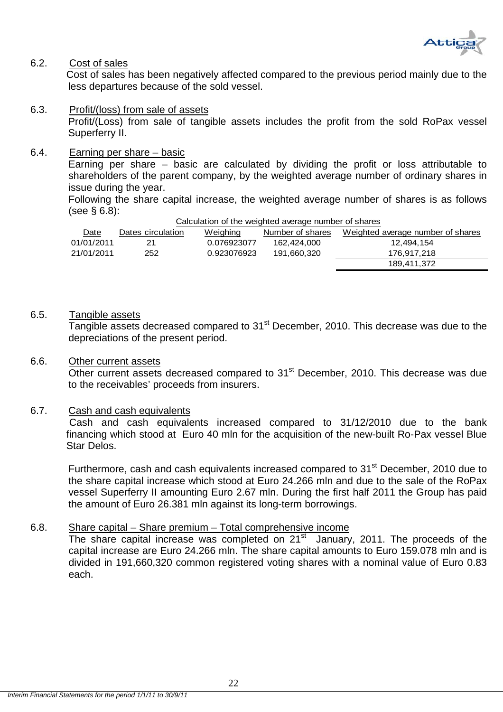

#### 6.2. Cost of sales

 Cost of sales has been negatively affected compared to the previous period mainly due to the less departures because of the sold vessel.

6.3. Profit/(loss) from sale of assets Profit/(Loss) from sale of tangible assets includes the profit from the sold RoPax vessel Superferry II.

#### 6.4. Earning per share – basic

Earning per share – basic are calculated by dividing the profit or loss attributable to shareholders of the parent company, by the weighted average number of ordinary shares in issue during the year.

Following the share capital increase, the weighted average number of shares is as follows (see § 6.8):

| Calculation of the weighted average number of shares |                   |             |                  |                                   |
|------------------------------------------------------|-------------------|-------------|------------------|-----------------------------------|
| Date                                                 | Dates circulation | Weighing    | Number of shares | Weighted average number of shares |
| 01/01/2011                                           | 21                | 0.076923077 | 162.424.000      | 12.494.154                        |
| 21/01/2011                                           | 252               | 0.923076923 | 191.660.320      | 176.917.218                       |
|                                                      |                   |             |                  | 189,411,372                       |

#### 6.5. Tangible assets

Tangible assets decreased compared to 31<sup>st</sup> December, 2010. This decrease was due to the depreciations of the present period.

#### 6.6. Other current assets

Other current assets decreased compared to 31<sup>st</sup> December, 2010. This decrease was due to the receivables' proceeds from insurers.

#### 6.7. Cash and cash equivalents

 Cash and cash equivalents increased compared to 31/12/2010 due to the bank financing which stood at Euro 40 mln for the acquisition of the new-built Ro-Pax vessel Blue Star Delos.

Furthermore, cash and cash equivalents increased compared to 31<sup>st</sup> December, 2010 due to the share capital increase which stood at Euro 24.266 mln and due to the sale of the RoPax vessel Superferry II amounting Euro 2.67 mln. During the first half 2011 the Group has paid the amount of Euro 26.381 mln against its long-term borrowings.

#### 6.8. Share capital – Share premium – Total comprehensive income

The share capital increase was completed on  $21<sup>st</sup>$  January, 2011. The proceeds of the capital increase are Euro 24.266 mln. The share capital amounts to Euro 159.078 mln and is divided in 191,660,320 common registered voting shares with a nominal value of Euro 0.83 each.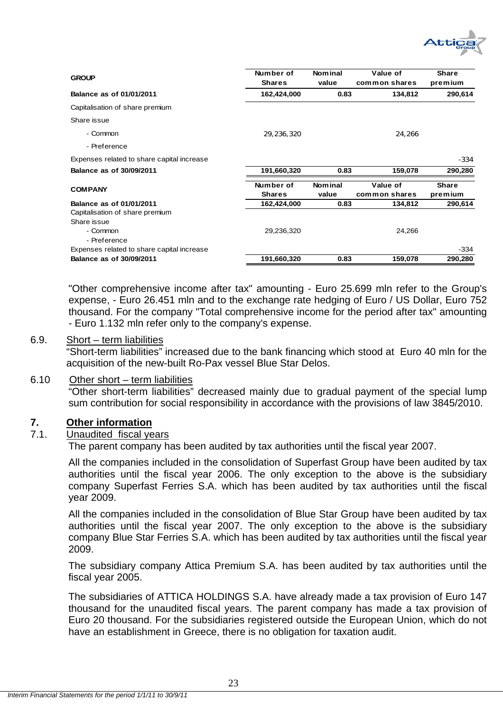

| <b>GROUP</b>                                   | Number of<br><b>Shares</b> | Nom in al<br>value        | Value of<br>common shares | <b>Share</b><br>premium |
|------------------------------------------------|----------------------------|---------------------------|---------------------------|-------------------------|
| Balance as of 01/01/2011                       | 162,424,000                | 0.83                      | 134,812                   | 290,614                 |
| Capitalisation of share premium                |                            |                           |                           |                         |
| Share issue                                    |                            |                           |                           |                         |
| - Common                                       | 29,236,320                 |                           | 24,266                    |                         |
| - Preference                                   |                            |                           |                           |                         |
| Expenses related to share capital increase     |                            |                           |                           | $-334$                  |
| Balance as of 30/09/2011                       | 191,660,320                | 0.83                      | 159,078                   | 290,280                 |
| <b>COMPANY</b>                                 | Number of<br><b>Shares</b> | <b>Nom</b> in al<br>value | Value of<br>common shares | <b>Share</b><br>premium |
| Balance as of 01/01/2011                       | 162,424,000                | 0.83                      | 134,812                   | 290,614                 |
| Capitalisation of share premium<br>Share issue |                            |                           |                           |                         |
| - Common<br>- Preference                       | 29,236,320                 |                           | 24,266                    |                         |
| Expenses related to share capital increase     |                            |                           |                           | $-334$                  |
| Balance as of 30/09/2011                       | 191,660,320                | 0.83                      | 159,078                   | 290,280                 |

"Other comprehensive income after tax" amounting - Euro 25.699 mln refer to the Group's expense, - Euro 26.451 mln and to the exchange rate hedging of Euro / US Dollar, Euro 752 thousand. For the company "Total comprehensive income for the period after tax" amounting - Euro 1.132 mln refer only to the company's expense.

#### 6.9. Short – term liabilities

"Short-term liabilities" increased due to the bank financing which stood at Euro 40 mln for the acquisition of the new-built Ro-Pax vessel Blue Star Delos.

#### 6.10 Other short – term liabilities

"Other short-term liabilities" decreased mainly due to gradual payment of the special lump sum contribution for social responsibility in accordance with the provisions of law 3845/2010.

#### **7. Other information**

#### 7.1. Unaudited fiscal years

The parent company has been audited by tax authorities until the fiscal year 2007.

All the companies included in the consolidation of Superfast Group have been audited by tax authorities until the fiscal year 2006. The only exception to the above is the subsidiary company Superfast Ferries S.A. which has been audited by tax authorities until the fiscal year 2009.

All the companies included in the consolidation of Blue Star Group have been audited by tax authorities until the fiscal year 2007. The only exception to the above is the subsidiary company Blue Star Ferries S.A. which has been audited by tax authorities until the fiscal year 2009.

The subsidiary company Attica Premium S.A. has been audited by tax authorities until the fiscal year 2005.

The subsidiaries of ATTICA HOLDINGS S.A. have already made a tax provision of Euro 147 thousand for the unaudited fiscal years. The parent company has made a tax provision of Euro 20 thousand. For the subsidiaries registered outside the European Union, which do not have an establishment in Greece, there is no obligation for taxation audit.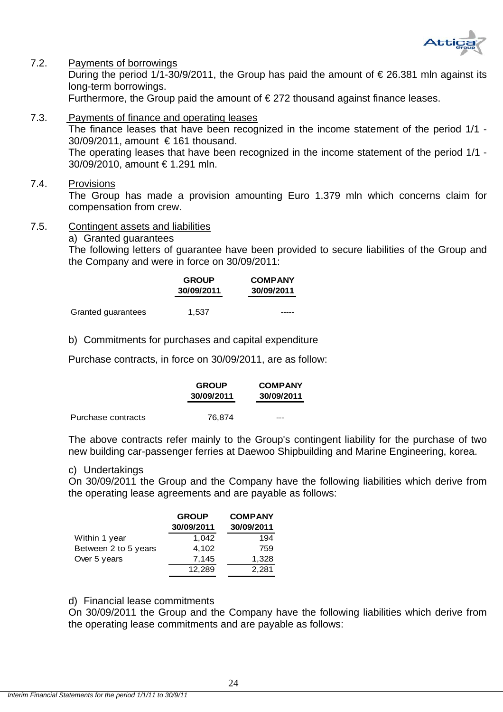

#### 7.2. Payments of borrowings

During the period 1/1-30/9/2011, the Group has paid the amount of  $\epsilon$  26.381 mln against its long-term borrowings.

Furthermore, the Group paid the amount of  $\epsilon$  272 thousand against finance leases.

7.3. Payments of finance and operating leases

The finance leases that have been recognized in the income statement of the period 1/1 - 30/09/2011, amount € 161 thousand. The operating leases that have been recognized in the income statement of the period 1/1 - 30/09/2010, amount € 1.291 mln.

7.4. Provisions

The Group has made a provision amounting Euro 1.379 mln which concerns claim for compensation from crew.

- 7.5. Contingent assets and liabilities
	- a) Granted guarantees

The following letters of guarantee have been provided to secure liabilities of the Group and the Company and were in force on 30/09/2011:

|                    | <b>GROUP</b><br>30/09/2011 | <b>COMPANY</b><br>30/09/2011 |
|--------------------|----------------------------|------------------------------|
| Granted guarantees | 1.537                      |                              |

b) Commitments for purchases and capital expenditure

Purchase contracts, in force on 30/09/2011, are as follow:

|                    | <b>GROUP</b><br>30/09/2011 | <b>COMPANY</b><br>30/09/2011 |
|--------------------|----------------------------|------------------------------|
| Purchase contracts | 76.874                     | ---                          |

The above contracts refer mainly to the Group's contingent liability for the purchase of two new building car-passenger ferries at Daewoo Shipbuilding and Marine Engineering, korea.

#### c) Undertakings

On 30/09/2011 the Group and the Company have the following liabilities which derive from the operating lease agreements and are payable as follows:

|                      | <b>GROUP</b><br>30/09/2011 | <b>COMPANY</b><br>30/09/2011 |
|----------------------|----------------------------|------------------------------|
| Within 1 year        | 1,042                      | 194                          |
| Between 2 to 5 years | 4,102                      | 759                          |
| Over 5 years         | 7,145                      | 1,328                        |
|                      | 12,289                     | 2,281                        |

#### d) Financial lease commitments

On 30/09/2011 the Group and the Company have the following liabilities which derive from the operating lease commitments and are payable as follows: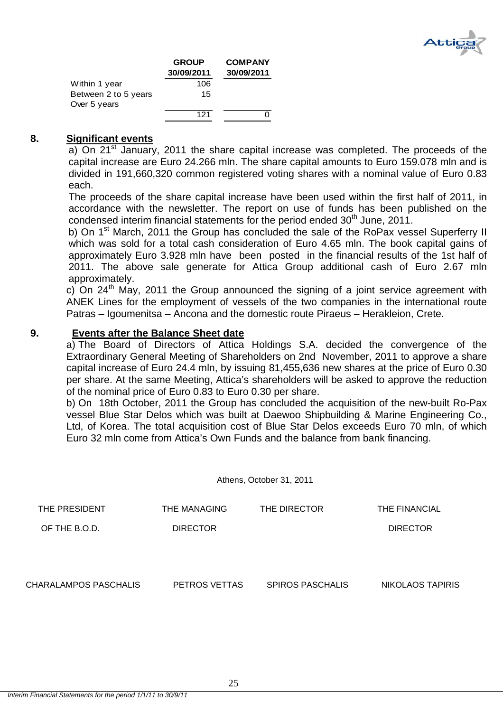

|                      | <b>GROUP</b><br>30/09/2011 | <b>COMPANY</b><br>30/09/2011 |
|----------------------|----------------------------|------------------------------|
| Within 1 year        | 106                        |                              |
| Between 2 to 5 years | 15                         |                              |
| Over 5 years         |                            |                              |
|                      | 121                        |                              |

#### **8. Significant events**

a) On 21<sup>st</sup> January, 2011 the share capital increase was completed. The proceeds of the capital increase are Euro 24.266 mln. The share capital amounts to Euro 159.078 mln and is divided in 191,660,320 common registered voting shares with a nominal value of Euro 0.83 each.

The proceeds of the share capital increase have been used within the first half of 2011, in accordance with the newsletter. The report on use of funds has been published on the condensed interim financial statements for the period ended  $30<sup>th</sup>$  June, 2011.

b) On 1<sup>st</sup> March, 2011 the Group has concluded the sale of the RoPax vessel Superferry II which was sold for a total cash consideration of Euro 4.65 mln. The book capital gains of approximately Euro 3.928 mln have been posted in the financial results of the 1st half of 2011. The above sale generate for Attica Group additional cash of Euro 2.67 mln approximately.

c) On  $24<sup>th</sup>$  May, 2011 the Group announced the signing of a joint service agreement with ANEK Lines for the employment of vessels of the two companies in the international route Patras – Igoumenitsa – Ancona and the domestic route Piraeus – Herakleion, Crete.

#### **9. Events after the Balance Sheet date**

a) The Board of Directors of Attica Holdings S.A. decided the convergence of the Extraordinary General Meeting of Shareholders on 2nd November, 2011 to approve a share capital increase of Euro 24.4 mln, by issuing 81,455,636 new shares at the price of Euro 0.30 per share. At the same Meeting, Attica's shareholders will be asked to approve the reduction of the nominal price of Euro 0.83 to Euro 0.30 per share.

b) On 18th October, 2011 the Group has concluded the acquisition of the new-built Ro-Pax vessel Blue Star Delos which was built at Daewoo Shipbuilding & Marine Engineering Co., Ltd, of Korea. The total acquisition cost of Blue Star Delos exceeds Euro 70 mln, of which Euro 32 mln come from Attica's Own Funds and the balance from bank financing.

Athens, October 31, 2011

| THE PRESIDENT | THE MANAGING    | THE DIRECTOR | THE FINANCIAL   |
|---------------|-----------------|--------------|-----------------|
| OF THE B.O.D. | <b>DIRECTOR</b> |              | <b>DIRECTOR</b> |
|               |                 |              |                 |
|               |                 |              |                 |
|               |                 |              |                 |

CHARALAMPOS PASCHALIS PETROS VETTAS SPIROS PASCHALIS NIKOLAOS TAPIRIS